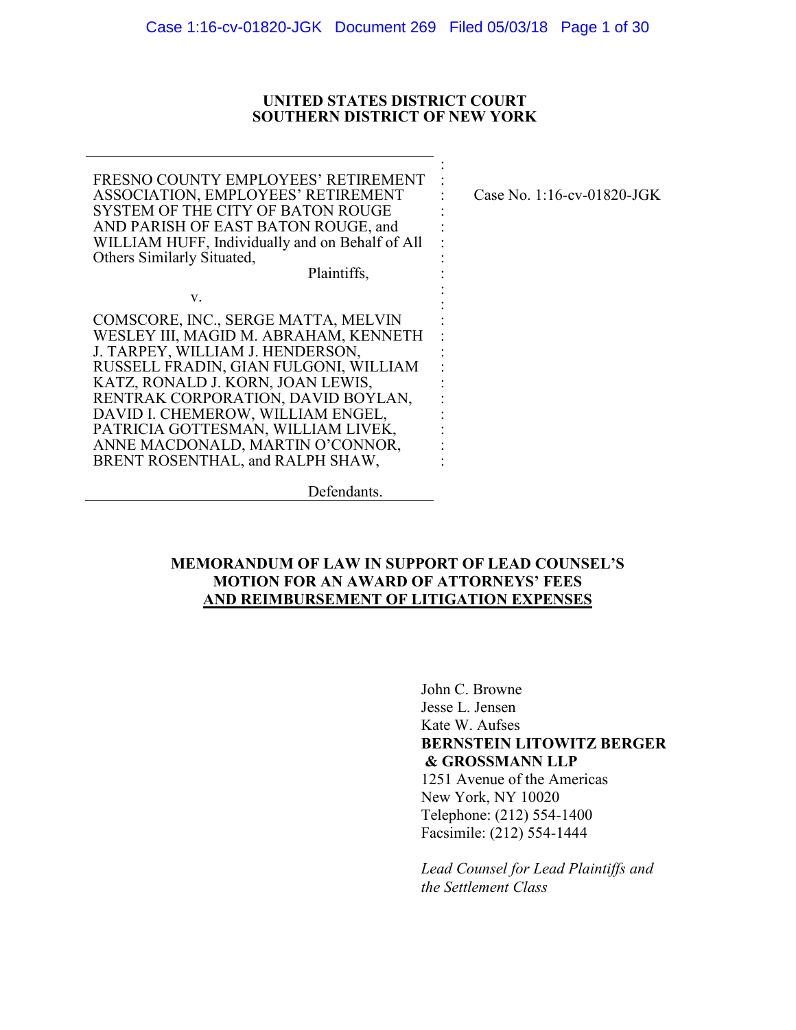#### UNITED STATES DISTRICT COURT **SOUTHERN DISTRICT OF NEW YORK**

FRESNO COUNTY EMPLOYEES' RETIREMENT **ASSOCIATION, EMPLOYEES' RETIREMENT** SYSTEM OF THE CITY OF BATON ROUGE AND PARISH OF EAST BATON ROUGE, and WILLIAM HUFF, Individually and on Behalf of All Others Similarly Situated,

Case No. 1:16-cv-01820-JGK

Plaintiffs.

COMSCORE, INC., SERGE MATTA, MELVIN WESLEY III, MAGID M. ABRAHAM, KENNETH J. TARPEY, WILLIAM J. HENDERSON, RUSSELL FRADIN, GIAN FULGONI, WILLIAM KATZ, RONALD J. KORN, JOAN LEWIS, RENTRAK CORPORATION, DAVID BOYLAN, DAVID I. CHEMEROW, WILLIAM ENGEL, PATRICIA GOTTESMAN, WILLIAM LIVEK, ANNE MACDONALD, MARTIN O'CONNOR, BRENT ROSENTHAL, and RALPH SHAW,

 $V<sub>r</sub>$ 

Defendants.

## **MEMORANDUM OF LAW IN SUPPORT OF LEAD COUNSEL'S MOTION FOR AN AWARD OF ATTORNEYS' FEES** AND REIMBURSEMENT OF LITIGATION EXPENSES

John C. Browne Jesse L. Jensen Kate W. Aufses **BERNSTEIN LITOWITZ BERGER** & GROSSMANN LLP 1251 Avenue of the Americas New York, NY 10020 Telephone: (212) 554-1400 Facsimile: (212) 554-1444

Lead Counsel for Lead Plaintiffs and the Settlement Class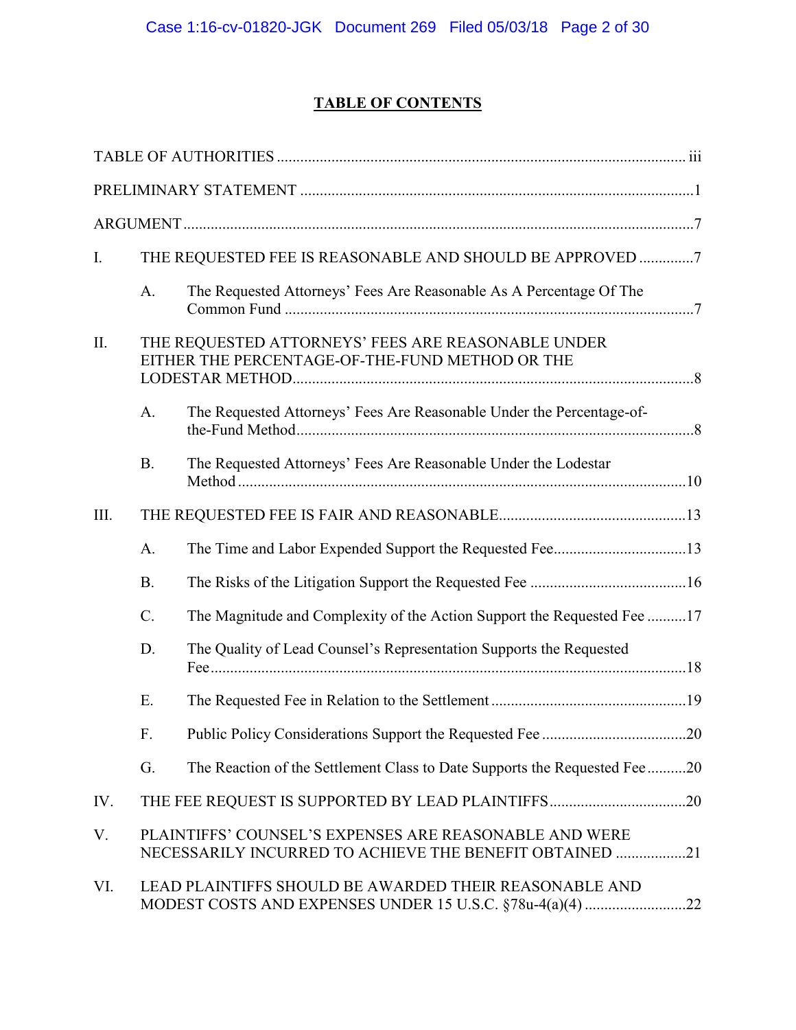# **TABLE OF CONTENTS**

| I.   |           | THE REQUESTED FEE IS REASONABLE AND SHOULD BE APPROVED 7                                                          |  |
|------|-----------|-------------------------------------------------------------------------------------------------------------------|--|
|      | A.        | The Requested Attorneys' Fees Are Reasonable As A Percentage Of The                                               |  |
| II.  |           | THE REQUESTED ATTORNEYS' FEES ARE REASONABLE UNDER<br>EITHER THE PERCENTAGE-OF-THE-FUND METHOD OR THE             |  |
|      | A.        | The Requested Attorneys' Fees Are Reasonable Under the Percentage-of-                                             |  |
|      | <b>B.</b> | The Requested Attorneys' Fees Are Reasonable Under the Lodestar                                                   |  |
| III. |           |                                                                                                                   |  |
|      | A.        |                                                                                                                   |  |
|      | <b>B.</b> |                                                                                                                   |  |
|      | $C$ .     | The Magnitude and Complexity of the Action Support the Requested Fee 17                                           |  |
|      | D.        | The Quality of Lead Counsel's Representation Supports the Requested                                               |  |
|      | E.        |                                                                                                                   |  |
|      | F.        |                                                                                                                   |  |
|      | G.        | The Reaction of the Settlement Class to Date Supports the Requested Fee20                                         |  |
| IV.  |           |                                                                                                                   |  |
| V.   |           | PLAINTIFFS' COUNSEL'S EXPENSES ARE REASONABLE AND WERE<br>NECESSARILY INCURRED TO ACHIEVE THE BENEFIT OBTAINED 21 |  |
| VI.  |           | LEAD PLAINTIFFS SHOULD BE AWARDED THEIR REASONABLE AND                                                            |  |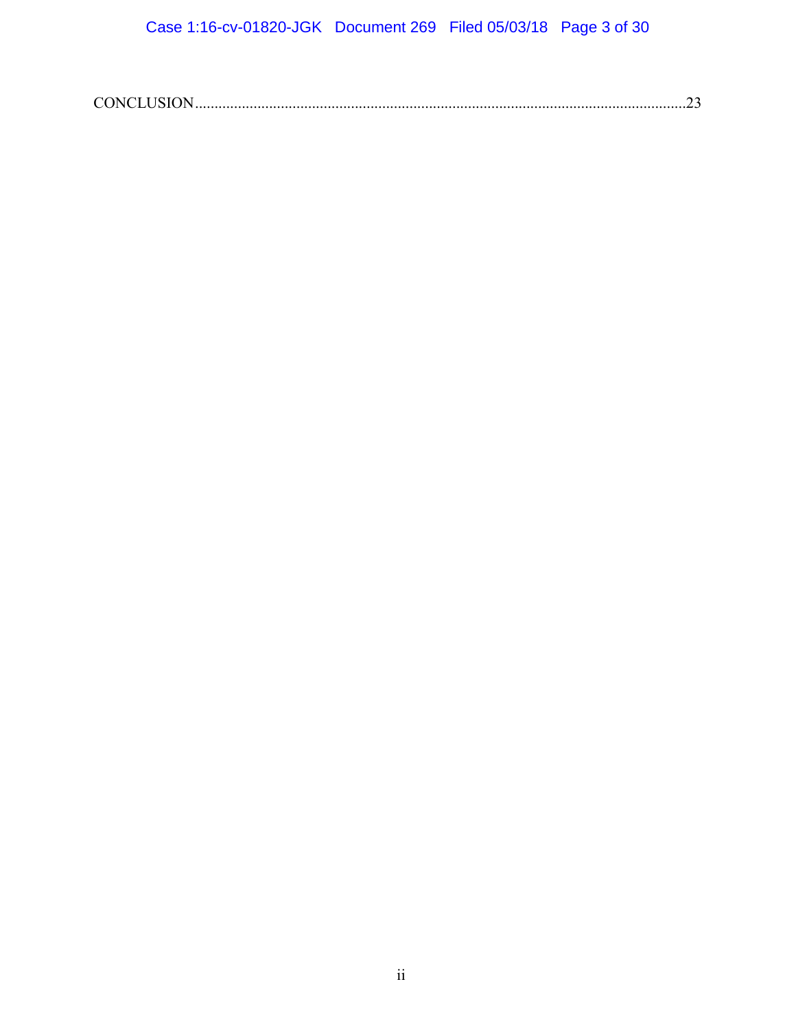|--|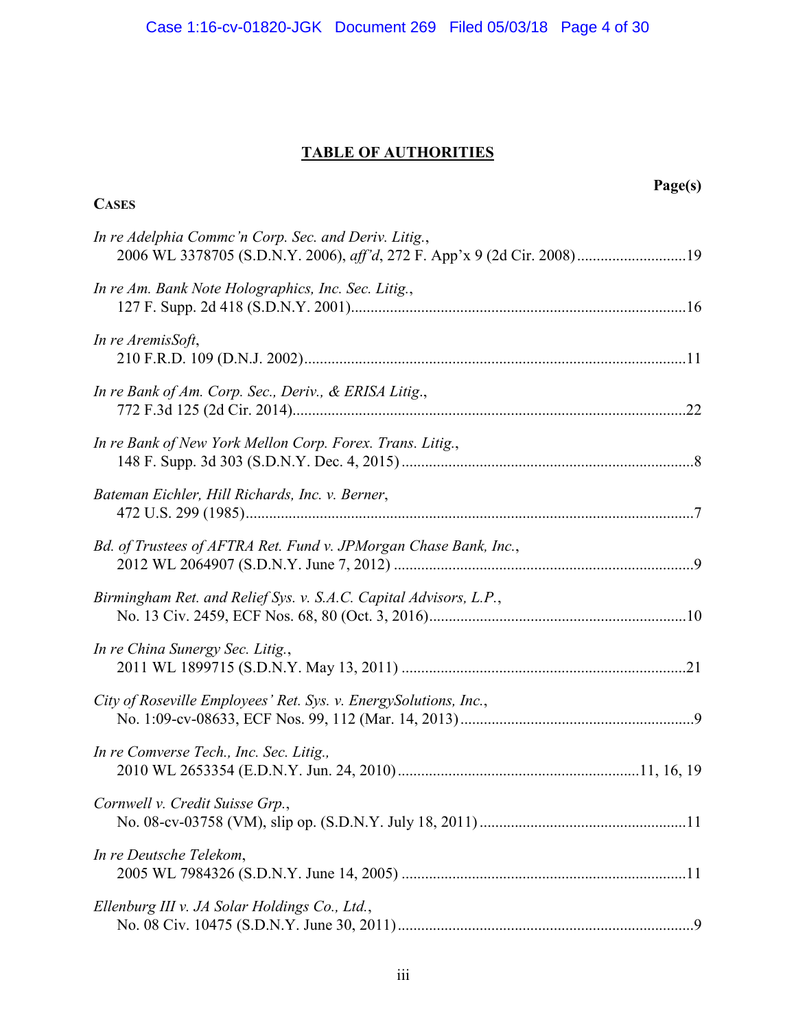# **TABLE OF AUTHORITIES**

| Page(s)<br><b>CASES</b>                                                                                                         |  |
|---------------------------------------------------------------------------------------------------------------------------------|--|
| In re Adelphia Commc'n Corp. Sec. and Deriv. Litig.,<br>2006 WL 3378705 (S.D.N.Y. 2006), aff'd, 272 F. App'x 9 (2d Cir. 2008)19 |  |
| In re Am. Bank Note Holographics, Inc. Sec. Litig.,                                                                             |  |
| In re AremisSoft,                                                                                                               |  |
| In re Bank of Am. Corp. Sec., Deriv., & ERISA Litig.,                                                                           |  |
| In re Bank of New York Mellon Corp. Forex. Trans. Litig.,                                                                       |  |
| Bateman Eichler, Hill Richards, Inc. v. Berner,                                                                                 |  |
| Bd. of Trustees of AFTRA Ret. Fund v. JPMorgan Chase Bank, Inc.,                                                                |  |
| Birmingham Ret. and Relief Sys. v. S.A.C. Capital Advisors, L.P.,                                                               |  |
| In re China Sunergy Sec. Litig.,                                                                                                |  |
| City of Roseville Employees' Ret. Sys. v. Energy Solutions, Inc.,                                                               |  |
| In re Comverse Tech., Inc. Sec. Litig.,                                                                                         |  |
| Cornwell v. Credit Suisse Grp.,                                                                                                 |  |
| In re Deutsche Telekom,                                                                                                         |  |
| Ellenburg III v. JA Solar Holdings Co., Ltd.,                                                                                   |  |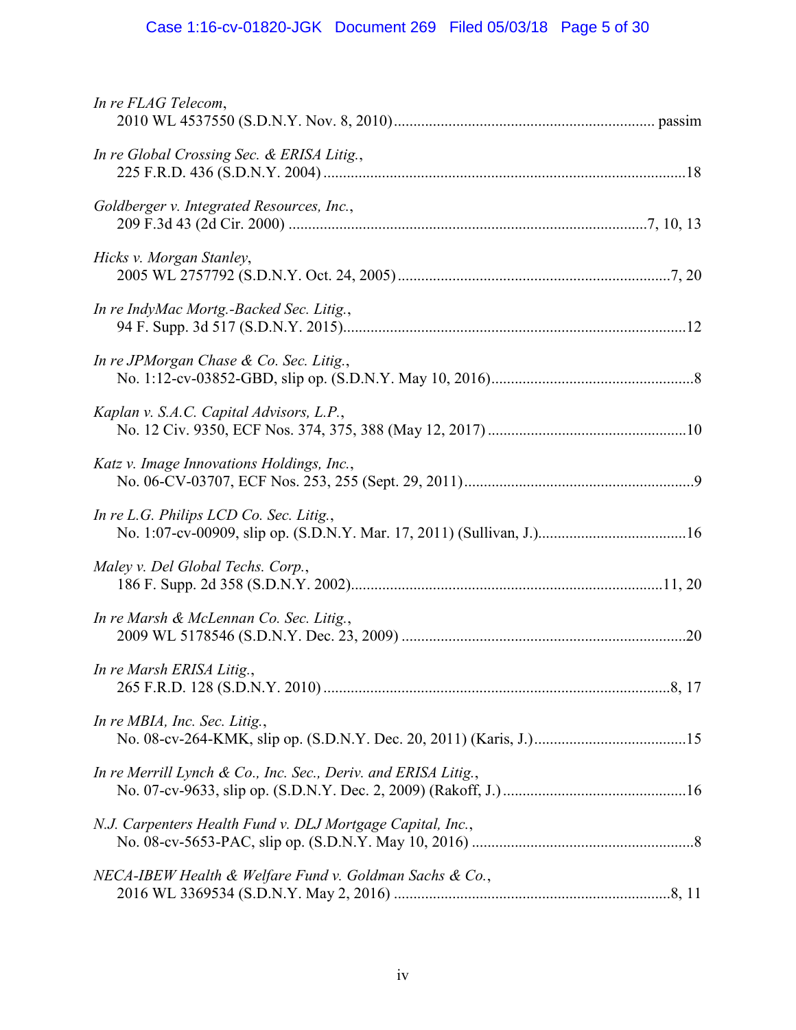# Case 1:16-cv-01820-JGK Document 269 Filed 05/03/18 Page 5 of 30

| In re FLAG Telecom,                                            |
|----------------------------------------------------------------|
| In re Global Crossing Sec. & ERISA Litig.,                     |
| Goldberger v. Integrated Resources, Inc.,                      |
| Hicks v. Morgan Stanley,                                       |
| In re IndyMac Mortg.-Backed Sec. Litig.,                       |
| In re JPMorgan Chase & Co. Sec. Litig.,                        |
| Kaplan v. S.A.C. Capital Advisors, L.P.,                       |
| Katz v. Image Innovations Holdings, Inc.,                      |
| In re L.G. Philips LCD Co. Sec. Litig.,                        |
| Maley v. Del Global Techs. Corp.,                              |
| In re Marsh & McLennan Co. Sec. Litig.,                        |
| In re Marsh ERISA Litig.,                                      |
| In re MBIA, Inc. Sec. Litig.,                                  |
| In re Merrill Lynch & Co., Inc. Sec., Deriv. and ERISA Litig., |
| N.J. Carpenters Health Fund v. DLJ Mortgage Capital, Inc.,     |
| NECA-IBEW Health & Welfare Fund v. Goldman Sachs & Co.,        |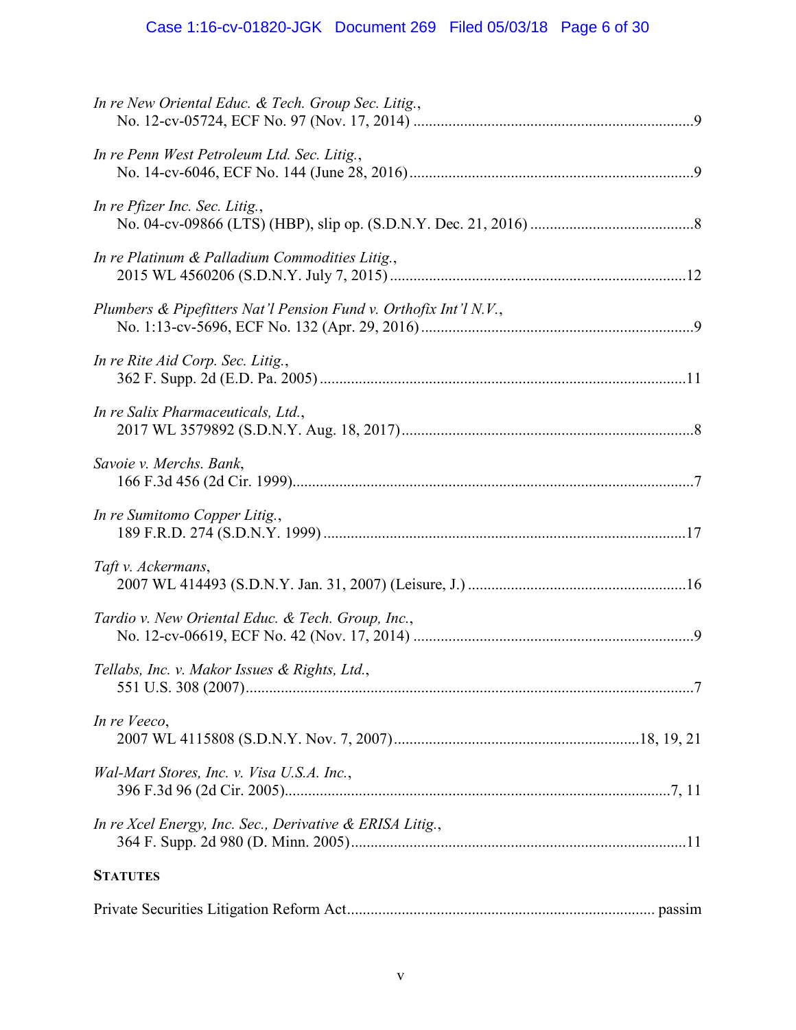# Case 1:16-cv-01820-JGK Document 269 Filed 05/03/18 Page 6 of 30

| In re New Oriental Educ. & Tech. Group Sec. Litig.,               |
|-------------------------------------------------------------------|
| In re Penn West Petroleum Ltd. Sec. Litig.,                       |
| In re Pfizer Inc. Sec. Litig.,                                    |
| In re Platinum & Palladium Commodities Litig.,                    |
| Plumbers & Pipefitters Nat'l Pension Fund v. Orthofix Int'l N.V., |
| In re Rite Aid Corp. Sec. Litig.,                                 |
| In re Salix Pharmaceuticals, Ltd.,                                |
| Savoie v. Merchs. Bank,                                           |
| In re Sumitomo Copper Litig.,                                     |
| Taft v. Ackermans,                                                |
| Tardio v. New Oriental Educ. & Tech. Group, Inc.,                 |
| Tellabs, Inc. v. Makor Issues & Rights, Ltd.,                     |
| In re Veeco,                                                      |
| Wal-Mart Stores, Inc. v. Visa U.S.A. Inc.,                        |
| In re Xcel Energy, Inc. Sec., Derivative & ERISA Litig.,          |
| <b>STATUTES</b>                                                   |
|                                                                   |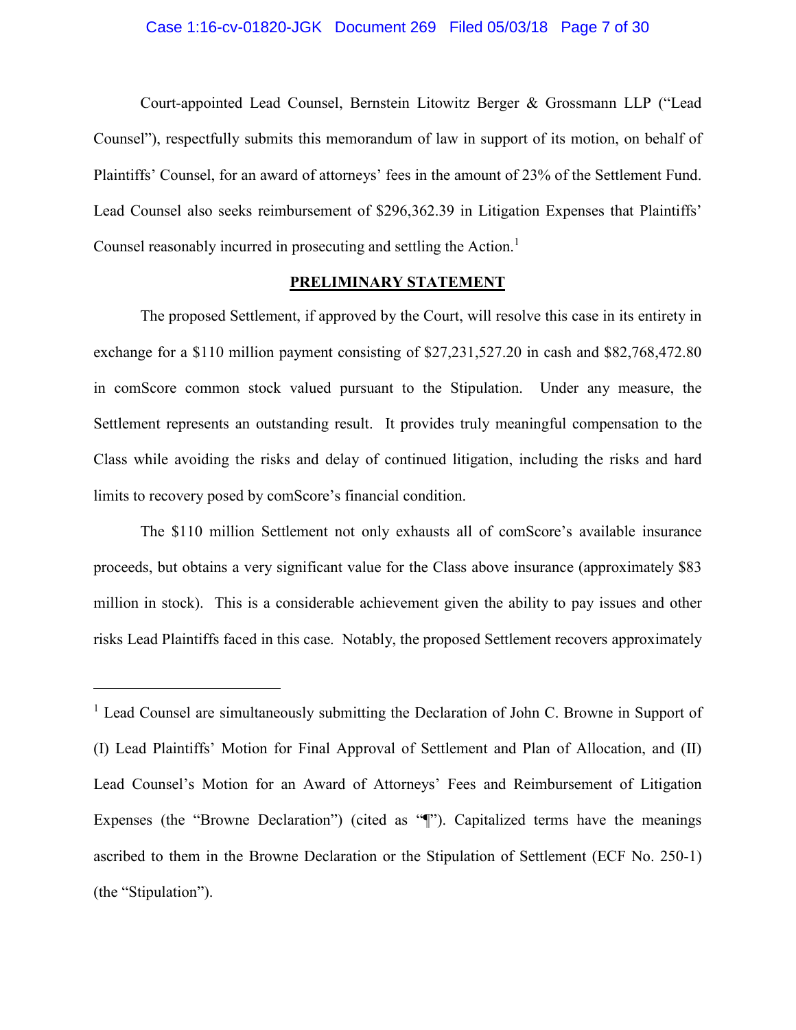### Case 1:16-cv-01820-JGK Document 269 Filed 05/03/18 Page 7 of 30

Court-appointed Lead Counsel, Bernstein Litowitz Berger & Grossmann LLP ("Lead Counsel"), respectfully submits this memorandum of law in support of its motion, on behalf of Plaintiffs' Counsel, for an award of attorneys' fees in the amount of 23% of the Settlement Fund. Lead Counsel also seeks reimbursement of \$296,362.39 in Litigation Expenses that Plaintiffs' Counsel reasonably incurred in prosecuting and settling the Action.<sup>1</sup>

### PRELIMINARY STATEMENT

The proposed Settlement, if approved by the Court, will resolve this case in its entirety in exchange for a \$110 million payment consisting of \$27,231,527.20 in cash and \$82,768,472.80 in comScore common stock valued pursuant to the Stipulation. Under any measure, the Settlement represents an outstanding result. It provides truly meaningful compensation to the Class while avoiding the risks and delay of continued litigation, including the risks and hard limits to recovery posed by comScore's financial condition.

The \$110 million Settlement not only exhausts all of comScore's available insurance proceeds, but obtains a very significant value for the Class above insurance (approximately \$83) million in stock). This is a considerable achievement given the ability to pay issues and other risks Lead Plaintiffs faced in this case. Notably, the proposed Settlement recovers approximately

<sup>&</sup>lt;sup>1</sup> Lead Counsel are simultaneously submitting the Declaration of John C. Browne in Support of (I) Lead Plaintiffs' Motion for Final Approval of Settlement and Plan of Allocation, and (II) Lead Counsel's Motion for an Award of Attorneys' Fees and Reimbursement of Litigation Expenses (the "Browne Declaration") (cited as "T"). Capitalized terms have the meanings ascribed to them in the Browne Declaration or the Stipulation of Settlement (ECF No. 250-1) (the "Stipulation").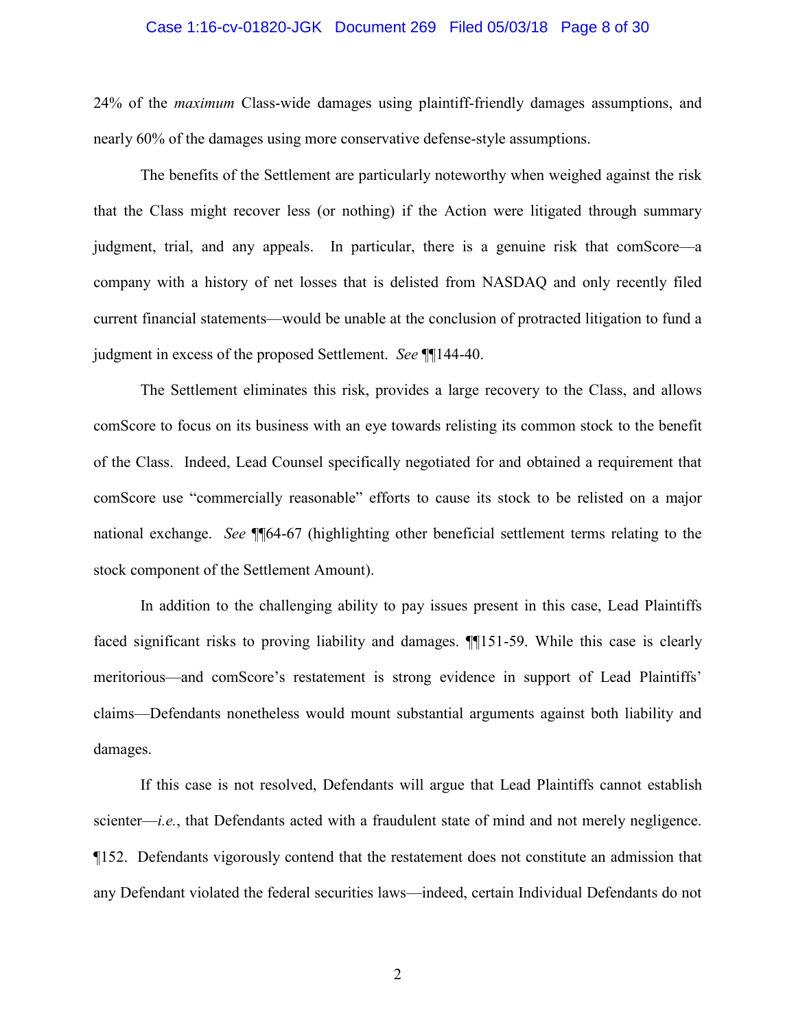#### Case 1:16-cv-01820-JGK Document 269 Filed 05/03/18 Page 8 of 30

24% of the *maximum* Class-wide damages using plaintiff-friendly damages assumptions, and nearly 60% of the damages using more conservative defense-style assumptions.

The benefits of the Settlement are particularly noteworthy when weighed against the risk that the Class might recover less (or nothing) if the Action were litigated through summary judgment, trial, and any appeals. In particular, there is a genuine risk that comScore—a company with a history of net losses that is delisted from NASDAQ and only recently filed current financial statements—would be unable at the conclusion of protracted litigation to fund a judgment in excess of the proposed Settlement. See ¶[144-40.]

The Settlement eliminates this risk, provides a large recovery to the Class, and allows comScore to focus on its business with an eye towards relisting its common stock to the benefit of the Class. Indeed, Lead Counsel specifically negotiated for and obtained a requirement that comScore use "commercially reasonable" efforts to cause its stock to be relisted on a major national exchange. See ¶¶64-67 (highlighting other beneficial settlement terms relating to the stock component of the Settlement Amount).

In addition to the challenging ability to pay issues present in this case, Lead Plaintiffs faced significant risks to proving liability and damages. **1151-59**. While this case is clearly meritorious—and comScore's restatement is strong evidence in support of Lead Plaintiffs' claims—Defendants nonetheless would mount substantial arguments against both liability and damages.

If this case is not resolved, Defendants will argue that Lead Plaintiffs cannot establish scienter—*i.e.*, that Defendants acted with a fraudulent state of mind and not merely negligence. ¶152. Defendants vigorously contend that the restatement does not constitute an admission that any Defendant violated the federal securities laws—indeed, certain Individual Defendants do not

 $\overline{2}$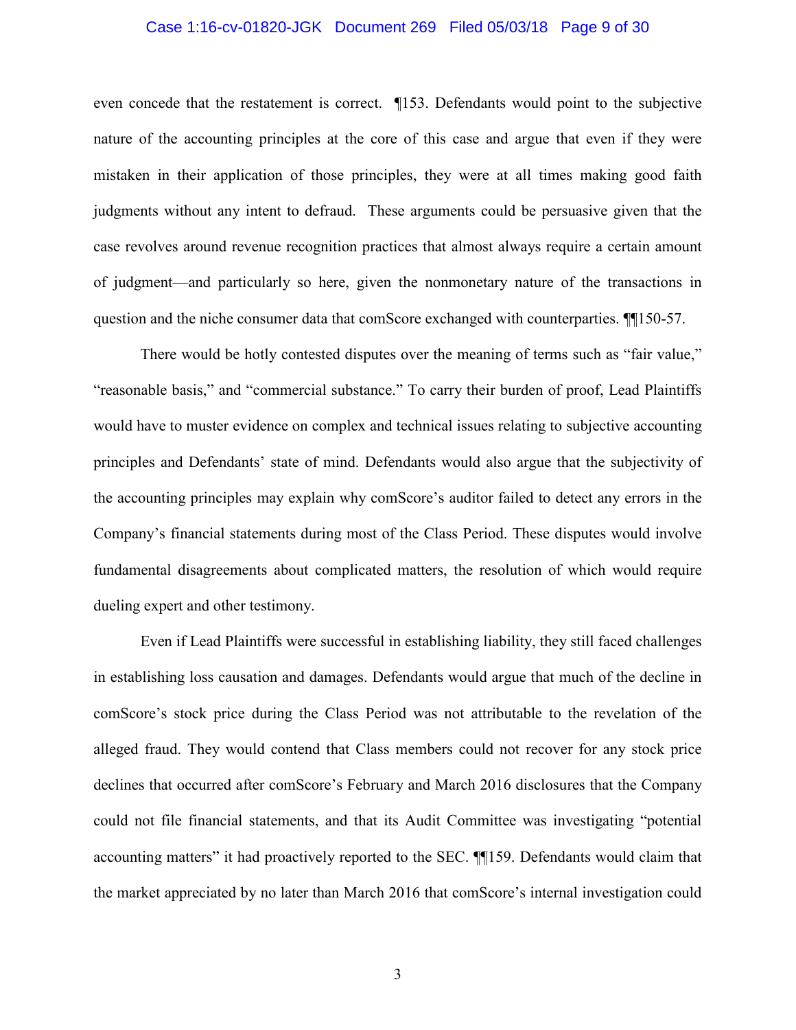### Case 1:16-cv-01820-JGK Document 269 Filed 05/03/18 Page 9 of 30

even concede that the restatement is correct. [153. Defendants would point to the subjective nature of the accounting principles at the core of this case and argue that even if they were mistaken in their application of those principles, they were at all times making good faith judgments without any intent to defraud. These arguments could be persuasive given that the case revolves around revenue recognition practices that almost always require a certain amount of judgment—and particularly so here, given the nonmonetary nature of the transactions in question and the niche consumer data that comScore exchanged with counterparties. [150-57.]

There would be hotly contested disputes over the meaning of terms such as "fair value," "reasonable basis," and "commercial substance." To carry their burden of proof, Lead Plaintiffs would have to muster evidence on complex and technical issues relating to subjective accounting principles and Defendants' state of mind. Defendants would also argue that the subjectivity of the accounting principles may explain why comscore's auditor failed to detect any errors in the Company's financial statements during most of the Class Period. These disputes would involve fundamental disagreements about complicated matters, the resolution of which would require dueling expert and other testimony.

Even if Lead Plaintiffs were successful in establishing liability, they still faced challenges in establishing loss causation and damages. Defendants would argue that much of the decline in comScore's stock price during the Class Period was not attributable to the revelation of the alleged fraud. They would contend that Class members could not recover for any stock price declines that occurred after comScore's February and March 2016 disclosures that the Company could not file financial statements, and that its Audit Committee was investigating "potential accounting matters" it had proactively reported to the SEC. ¶159. Defendants would claim that the market appreciated by no later than March 2016 that comScore's internal investigation could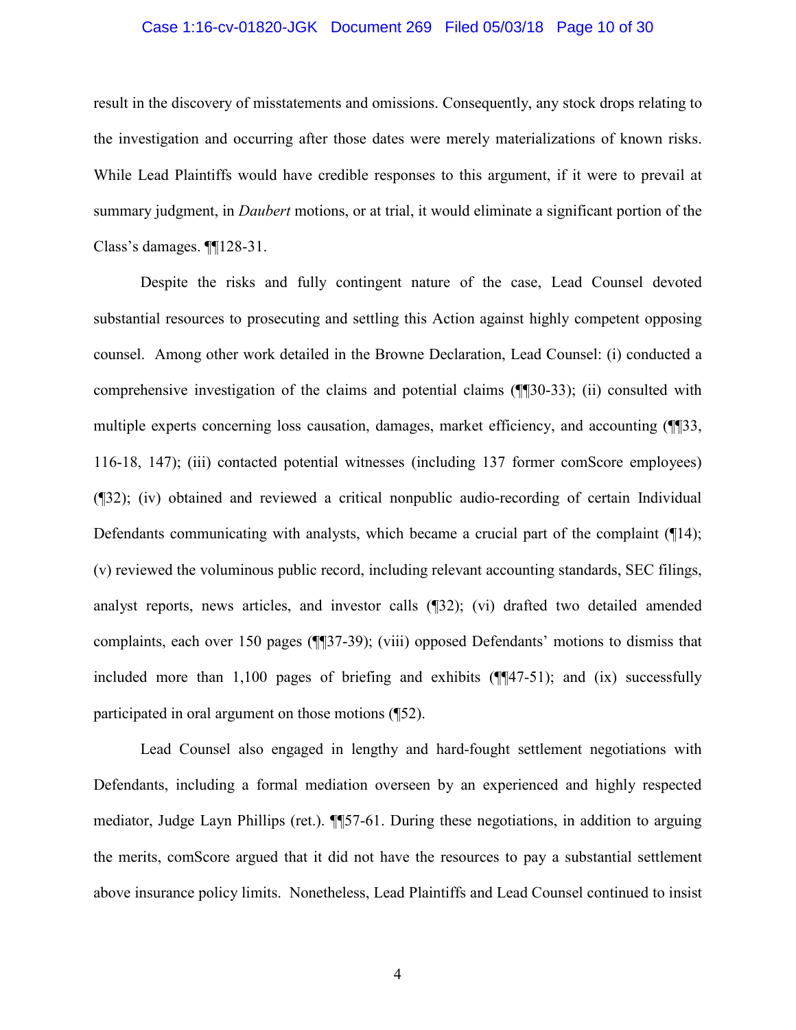### Case 1:16-cv-01820-JGK Document 269 Filed 05/03/18 Page 10 of 30

result in the discovery of misstatements and omissions. Consequently, any stock drops relating to the investigation and occurring after those dates were merely materializations of known risks. While Lead Plaintiffs would have credible responses to this argument, if it were to prevail at summary judgment, in *Daubert* motions, or at trial, it would eliminate a significant portion of the Class's damages.  $\P$ [128-31.

Despite the risks and fully contingent nature of the case, Lead Counsel devoted substantial resources to prosecuting and settling this Action against highly competent opposing counsel. Among other work detailed in the Browne Declaration, Lead Counsel: (i) conducted a comprehensive investigation of the claims and potential claims (¶[30-33); (ii) consulted with multiple experts concerning loss causation, damages, market efficiency, and accounting (1.133, 116-18, 147); (iii) contacted potential witnesses (including 137 former comScore employees) (132); (iv) obtained and reviewed a critical nonpublic audio-recording of certain Individual Defendants communicating with analysts, which became a crucial part of the complaint  $(\P14)$ ; (v) reviewed the voluminous public record, including relevant accounting standards, SEC filings, analyst reports, news articles, and investor calls (132); (vi) drafted two detailed amended complaints, each over 150 pages (¶[37-39); (viii) opposed Defendants' motions to dismiss that included more than 1,100 pages of briefing and exhibits  $(\sqrt{\frac{1}{4}}47-51)$ ; and (ix) successfully participated in oral argument on those motions (¶52).

Lead Counsel also engaged in lengthy and hard-fought settlement negotiations with Defendants, including a formal mediation overseen by an experienced and highly respected mediator, Judge Layn Phillips (ret.). ¶ 57-61. During these negotiations, in addition to arguing the merits, comScore argued that it did not have the resources to pay a substantial settlement above insurance policy limits. Nonetheless, Lead Plaintiffs and Lead Counsel continued to insist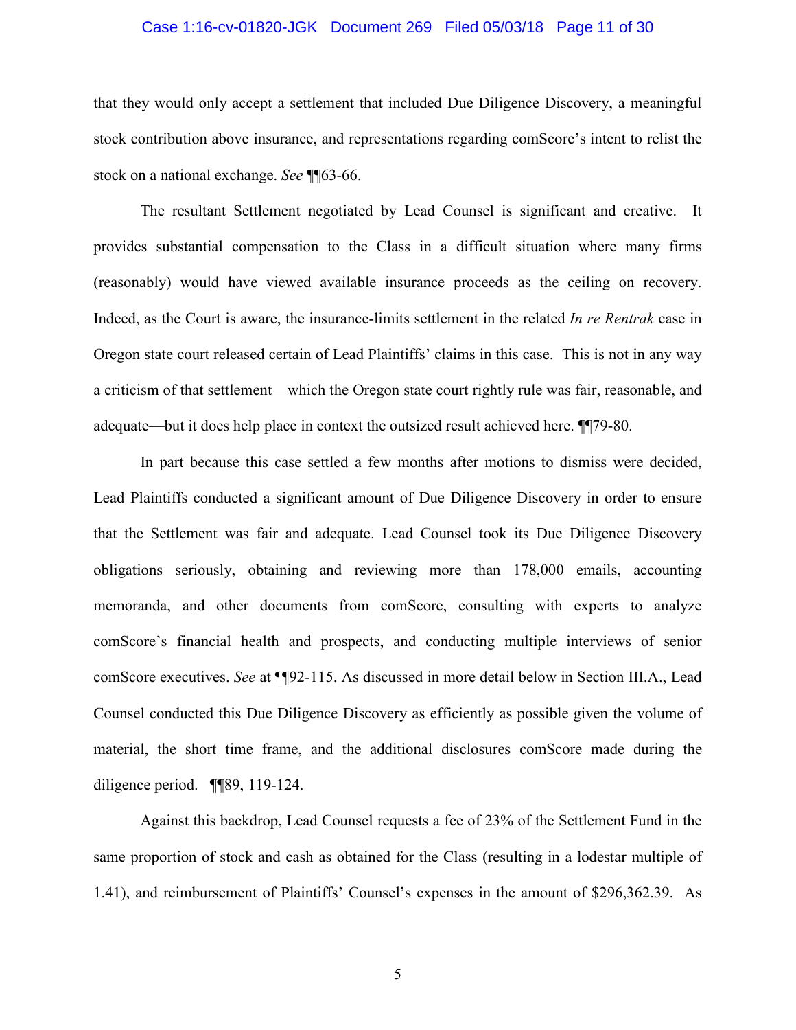### Case 1:16-cv-01820-JGK Document 269 Filed 05/03/18 Page 11 of 30

that they would only accept a settlement that included Due Diligence Discovery, a meaningful stock contribution above insurance, and representations regarding comScore's intent to relist the stock on a national exchange. See ¶ 63-66.

The resultant Settlement negotiated by Lead Counsel is significant and creative. It provides substantial compensation to the Class in a difficult situation where many firms (reasonably) would have viewed available insurance proceeds as the ceiling on recovery. Indeed, as the Court is aware, the insurance-limits settlement in the related In re Rentrak case in Oregon state court released certain of Lead Plaintiffs' claims in this case. This is not in any way a criticism of that settlement—which the Oregon state court rightly rule was fair, reasonable, and adequate—but it does help place in context the outsized result achieved here.  $\P$ [79-80.

In part because this case settled a few months after motions to dismiss were decided, Lead Plaintiffs conducted a significant amount of Due Diligence Discovery in order to ensure that the Settlement was fair and adequate. Lead Counsel took its Due Diligence Discovery obligations seriously, obtaining and reviewing more than 178,000 emails, accounting memoranda, and other documents from comScore, consulting with experts to analyze comScore's financial health and prospects, and conducting multiple interviews of senior comScore executives. See at ¶[92-115. As discussed in more detail below in Section III.A., Lead Counsel conducted this Due Diligence Discovery as efficiently as possible given the volume of material, the short time frame, and the additional disclosures comScore made during the diligence period.  $\P$  $[$ 89, 119-124.

Against this backdrop, Lead Counsel requests a fee of 23% of the Settlement Fund in the same proportion of stock and cash as obtained for the Class (resulting in a lodestar multiple of 1.41), and reimbursement of Plaintiffs' Counsel's expenses in the amount of \$296,362.39. As

5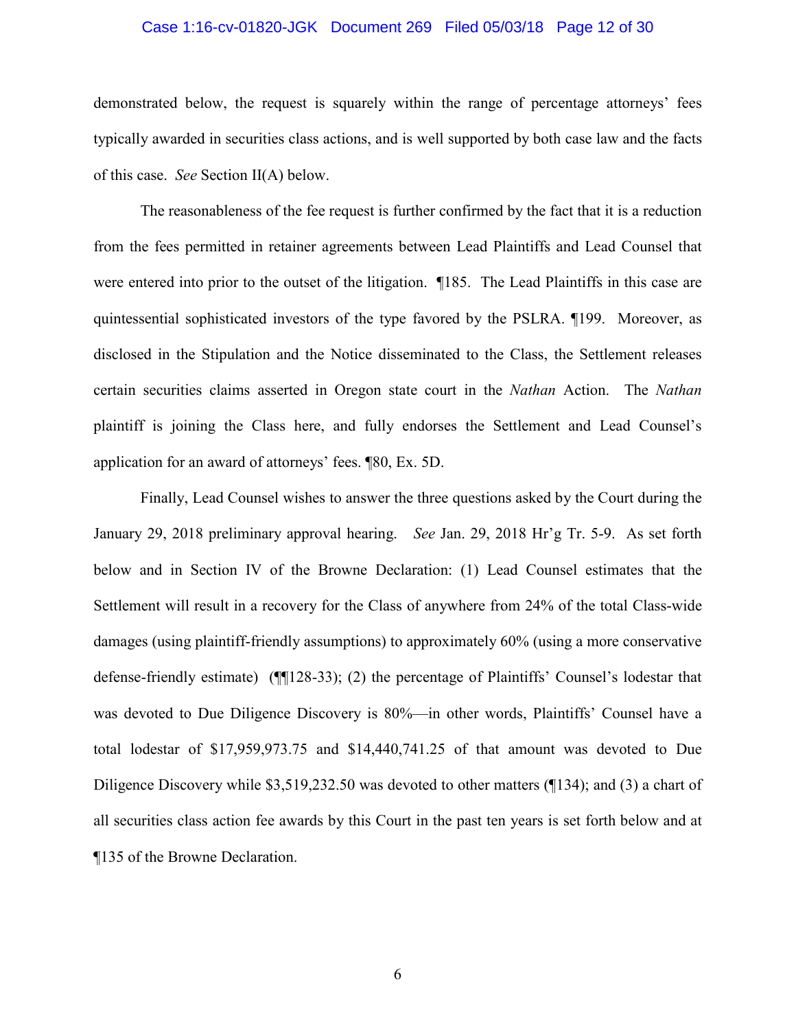# Case 1:16-cv-01820-JGK Document 269 Filed 05/03/18 Page 12 of 30

demonstrated below, the request is squarely within the range of percentage attorneys' fees typically awarded in securities class actions, and is well supported by both case law and the facts of this case. See Section II(A) below.

The reasonableness of the fee request is further confirmed by the fact that it is a reduction from the fees permitted in retainer agreements between Lead Plaintiffs and Lead Counsel that were entered into prior to the outset of the litigation. ¶185. The Lead Plaintiffs in this case are quintessential sophisticated investors of the type favored by the PSLRA. ¶199. Moreover, as disclosed in the Stipulation and the Notice disseminated to the Class, the Settlement releases certain securities claims asserted in Oregon state court in the Nathan Action. The Nathan plaintiff is joining the Class here, and fully endorses the Settlement and Lead Counsel's application for an award of attorneys' fees. [80, Ex. 5D.]

Finally, Lead Counsel wishes to answer the three questions asked by the Court during the January 29, 2018 preliminary approval hearing. See Jan. 29, 2018 Hr'g Tr. 5-9. As set forth below and in Section IV of the Browne Declaration: (1) Lead Counsel estimates that the Settlement will result in a recovery for the Class of anywhere from 24% of the total Class-wide damages (using plaintiff-friendly assumptions) to approximately 60% (using a more conservative defense-friendly estimate)  $(\text{M128-33})$ ; (2) the percentage of Plaintiffs' Counsel's lodestar that was devoted to Due Diligence Discovery is 80%—in other words, Plaintiffs' Counsel have a total lodestar of \$17,959,973.75 and \$14,440,741.25 of that amount was devoted to Due Diligence Discovery while \$3,519,232.50 was devoted to other matters  $(\frac{134}{3})$ ; and (3) a chart of all securities class action fee awards by this Court in the past ten years is set forth below and at ¶135 of the Browne Declaration.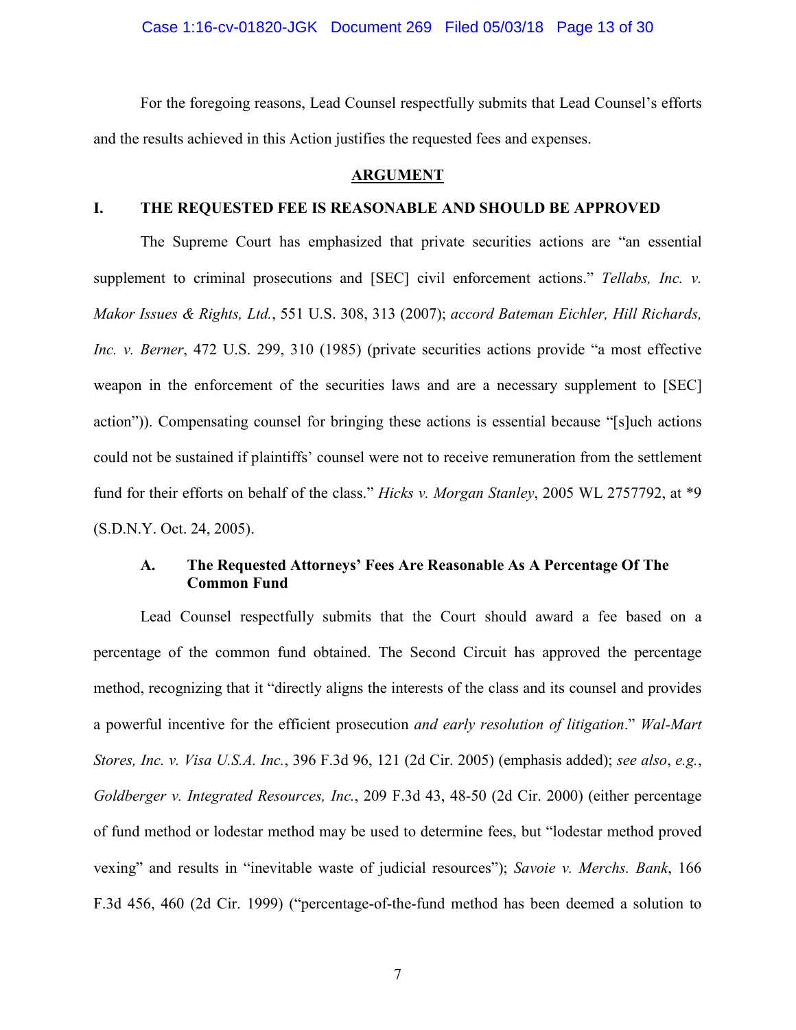Case 1:16-cv-01820-JGK Document 269 Filed 05/03/18 Page 13 of 30

For the foregoing reasons, Lead Counsel respectfully submits that Lead Counsel's efforts and the results achieved in this Action justifies the requested fees and expenses.

### **ARGUMENT**

#### THE REQUESTED FEE IS REASONABLE AND SHOULD BE APPROVED I.

The Supreme Court has emphasized that private securities actions are "an essential supplement to criminal prosecutions and [SEC] civil enforcement actions." Tellabs, Inc. v. Makor Issues & Rights, Ltd., 551 U.S. 308, 313 (2007); accord Bateman Eichler, Hill Richards, Inc. v. Berner, 472 U.S. 299, 310 (1985) (private securities actions provide "a most effective weapon in the enforcement of the securities laws and are a necessary supplement to [SEC] action")). Compensating counsel for bringing these actions is essential because "[s]uch actions could not be sustained if plaintiffs' counsel were not to receive remuneration from the settlement fund for their efforts on behalf of the class." Hicks v. Morgan Stanley, 2005 WL 2757792, at \*9 (S.D.N.Y. Oct. 24, 2005).

#### $\mathbf{A}$ . The Requested Attorneys' Fees Are Reasonable As A Percentage Of The **Common Fund**

Lead Counsel respectfully submits that the Court should award a fee based on a percentage of the common fund obtained. The Second Circuit has approved the percentage method, recognizing that it "directly aligns the interests of the class and its counsel and provides a powerful incentive for the efficient prosecution and early resolution of litigation." Wal-Mart Stores, Inc. v. Visa U.S.A. Inc., 396 F.3d 96, 121 (2d Cir. 2005) (emphasis added); see also, e.g., Goldberger v. Integrated Resources, Inc., 209 F.3d 43, 48-50 (2d Cir. 2000) (either percentage of fund method or lodestar method may be used to determine fees, but "lodestar method proved vexing" and results in "inevitable waste of judicial resources"); Savoie v. Merchs. Bank, 166 F.3d 456, 460 (2d Cir. 1999) ("percentage-of-the-fund method has been deemed a solution to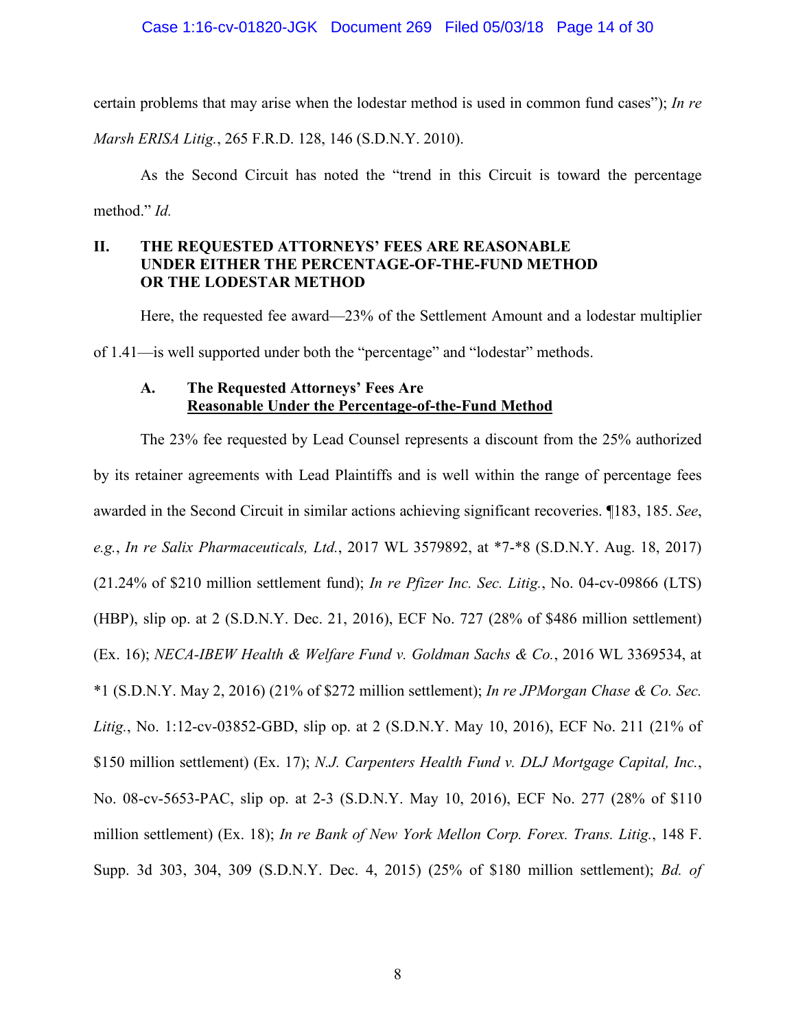certain problems that may arise when the lodestar method is used in common fund cases"); In re

Marsh ERISA Litig., 265 F.R.D. 128, 146 (S.D.N.Y. 2010).

As the Second Circuit has noted the "trend in this Circuit is toward the percentage method."  $Id$ .

#### THE REQUESTED ATTORNEYS' FEES ARE REASONABLE **II.** UNDER EITHER THE PERCENTAGE-OF-THE-FUND METHOD **OR THE LODESTAR METHOD**

Here, the requested fee award—23% of the Settlement Amount and a lodestar multiplier of 1.41—is well supported under both the "percentage" and "lodestar" methods.

#### The Requested Attorneys' Fees Are  $\mathbf{A}$ . Reasonable Under the Percentage-of-the-Fund Method

The 23% fee requested by Lead Counsel represents a discount from the 25% authorized by its retainer agreements with Lead Plaintiffs and is well within the range of percentage fees awarded in the Second Circuit in similar actions achieving significant recoveries. 183, 185, See, e.g., In re Salix Pharmaceuticals, Ltd., 2017 WL 3579892, at \*7-\*8 (S.D.N.Y. Aug. 18, 2017) (21.24% of \$210 million settlement fund); *In re Pfizer Inc. Sec. Litig.*, No. 04-cv-09866 (LTS) (HBP), slip op. at 2 (S.D.N.Y. Dec. 21, 2016), ECF No. 727 (28% of \$486 million settlement) (Ex. 16); NECA-IBEW Health & Welfare Fund v. Goldman Sachs & Co., 2016 WL 3369534, at \*1 (S.D.N.Y. May 2, 2016) (21% of \$272 million settlement); In re JPMorgan Chase & Co. Sec. Litig., No. 1:12-cv-03852-GBD, slip op. at 2 (S.D.N.Y. May 10, 2016), ECF No. 211 (21% of \$150 million settlement) (Ex. 17); N.J. Carpenters Health Fund v. DLJ Mortgage Capital, Inc., No. 08-cv-5653-PAC, slip op. at 2-3 (S.D.N.Y. May 10, 2016), ECF No. 277 (28% of \$110 million settlement) (Ex. 18); In re Bank of New York Mellon Corp. Forex. Trans. Litig., 148 F. Supp. 3d 303, 304, 309 (S.D.N.Y. Dec. 4, 2015) (25% of \$180 million settlement); *Bd. of*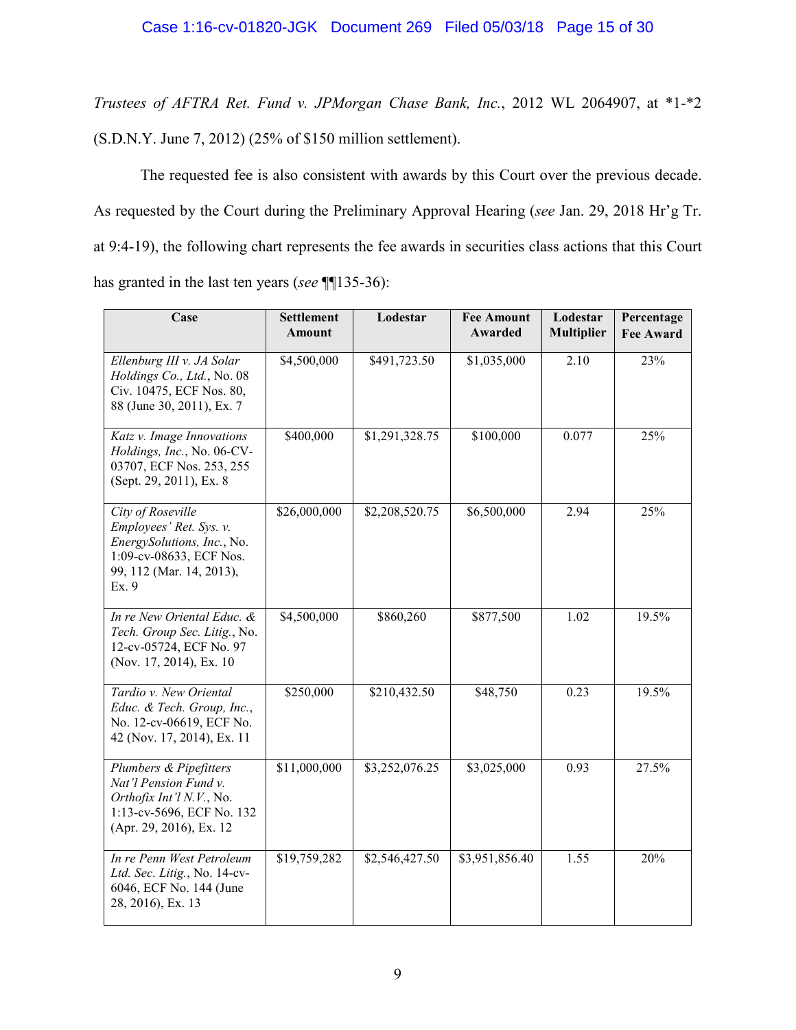Trustees of AFTRA Ret. Fund v. JPMorgan Chase Bank, Inc., 2012 WL 2064907, at \*1-\*2 (S.D.N.Y. June 7, 2012) (25% of \$150 million settlement).

The requested fee is also consistent with awards by this Court over the previous decade. As requested by the Court during the Preliminary Approval Hearing (see Jan. 29, 2018 Hr'g Tr. at 9:4-19), the following chart represents the fee awards in securities class actions that this Court has granted in the last ten years (see  $\P$ [135-36):

| Case                                                                                                                                       | <b>Settlement</b><br>Amount | Lodestar       | <b>Fee Amount</b><br>Awarded | Lodestar<br><b>Multiplier</b> | Percentage<br><b>Fee Award</b> |
|--------------------------------------------------------------------------------------------------------------------------------------------|-----------------------------|----------------|------------------------------|-------------------------------|--------------------------------|
| Ellenburg III v. JA Solar<br>Holdings Co., Ltd., No. 08<br>Civ. 10475, ECF Nos. 80,<br>88 (June 30, 2011), Ex. 7                           | \$4,500,000                 | \$491,723.50   | \$1,035,000                  | 2.10                          | 23%                            |
| Katz v. Image Innovations<br>Holdings, Inc., No. 06-CV-<br>03707, ECF Nos. 253, 255<br>(Sept. 29, 2011), Ex. 8                             | \$400,000                   | \$1,291,328.75 | \$100,000                    | 0.077                         | 25%                            |
| City of Roseville<br>Employees' Ret. Sys. v.<br>EnergySolutions, Inc., No.<br>1:09-cv-08633, ECF Nos.<br>99, 112 (Mar. 14, 2013),<br>Ex. 9 | \$26,000,000                | \$2,208,520.75 | \$6,500,000                  | 2.94                          | 25%                            |
| In re New Oriental Educ. &<br>Tech. Group Sec. Litig., No.<br>12-cv-05724, ECF No. 97<br>(Nov. 17, 2014), Ex. 10                           | \$4,500,000                 | \$860,260      | \$877,500                    | 1.02                          | 19.5%                          |
| Tardio v. New Oriental<br>Educ. & Tech. Group, Inc.,<br>No. 12-cv-06619, ECF No.<br>42 (Nov. 17, 2014), Ex. 11                             | \$250,000                   | \$210,432.50   | \$48,750                     | 0.23                          | 19.5%                          |
| Plumbers & Pipefitters<br>Nat'l Pension Fund v.<br>Orthofix Int'l N.V., No.<br>1:13-cv-5696, ECF No. 132<br>(Apr. 29, 2016), Ex. 12        | \$11,000,000                | \$3,252,076.25 | \$3,025,000                  | 0.93                          | 27.5%                          |
| In re Penn West Petroleum<br>Ltd. Sec. Litig., No. 14-cv-<br>6046, ECF No. 144 (June<br>28, 2016), Ex. 13                                  | \$19,759,282                | \$2,546,427.50 | \$3,951,856.40               | 1.55                          | 20%                            |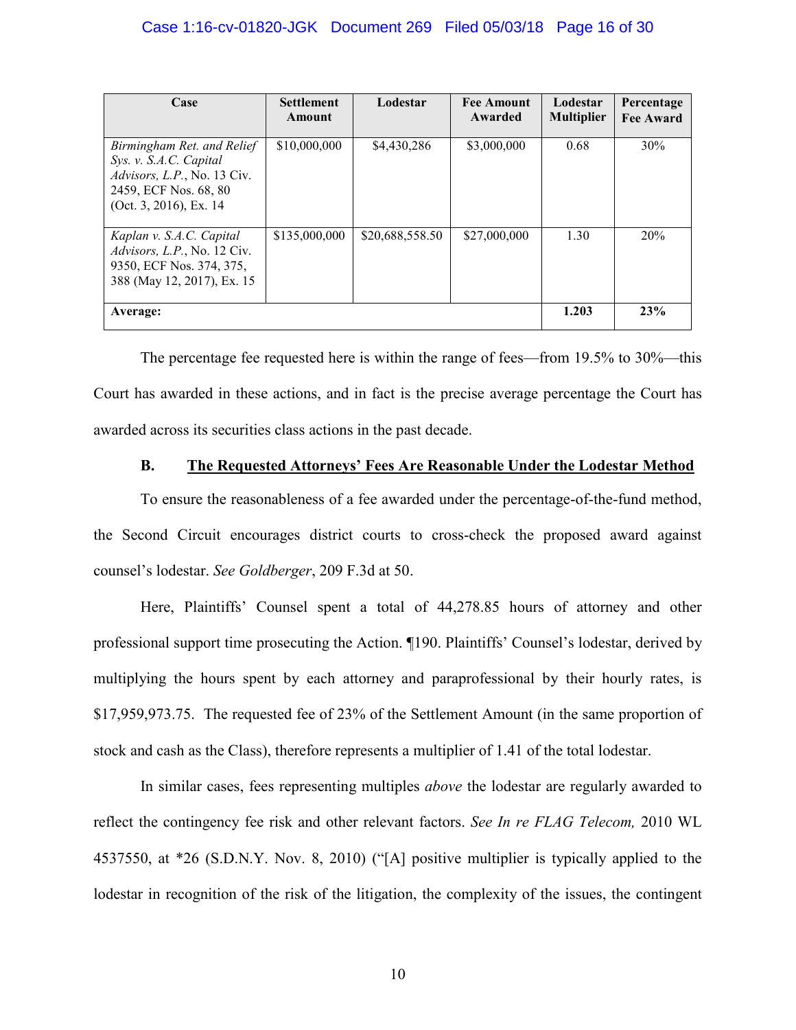| Case                                                                                                                                           | <b>Settlement</b><br>Amount | Lodestar        | <b>Fee Amount</b><br>Awarded | Lodestar<br><b>Multiplier</b> | Percentage<br><b>Fee Award</b> |
|------------------------------------------------------------------------------------------------------------------------------------------------|-----------------------------|-----------------|------------------------------|-------------------------------|--------------------------------|
| Birmingham Ret. and Relief<br>Sys. v. S.A.C. Capital<br><i>Advisors, L.P.</i> , No. 13 Civ.<br>2459, ECF Nos. 68, 80<br>(Oct. 3, 2016), Ex. 14 | \$10,000,000                | \$4,430,286     | \$3,000,000                  | 0.68                          | 30%                            |
| Kaplan v. S.A.C. Capital<br><i>Advisors, L.P.</i> , No. 12 Civ.<br>9350, ECF Nos. 374, 375,<br>388 (May 12, 2017), Ex. 15                      | \$135,000,000               | \$20,688,558.50 | \$27,000,000                 | 1.30                          | 20%                            |
| Average:                                                                                                                                       |                             |                 |                              | 1.203                         | 23%                            |

The percentage fee requested here is within the range of fees—from  $19.5\%$  to  $30\%$ —this Court has awarded in these actions, and in fact is the precise average percentage the Court has awarded across its securities class actions in the past decade.

#### **B.** The Requested Attorneys' Fees Are Reasonable Under the Lodestar Method

To ensure the reasonableness of a fee awarded under the percentage-of-the-fund method, the Second Circuit encourages district courts to cross-check the proposed award against counsel's lodestar. See Goldberger, 209 F.3d at 50.

Here, Plaintiffs' Counsel spent a total of 44,278.85 hours of attorney and other professional support time prosecuting the Action. ¶190. Plaintiffs' Counsel's lodestar, derived by multiplying the hours spent by each attorney and paraprofessional by their hourly rates, is \$17,959,973.75. The requested fee of 23% of the Settlement Amount (in the same proportion of stock and cash as the Class), therefore represents a multiplier of 1.41 of the total lodestar.

In similar cases, fees representing multiples *above* the lodestar are regularly awarded to reflect the contingency fee risk and other relevant factors. See In re FLAG Telecom, 2010 WL 4537550, at \*26 (S.D.N.Y. Nov. 8, 2010) ("[A] positive multiplier is typically applied to the lodestar in recognition of the risk of the litigation, the complexity of the issues, the contingent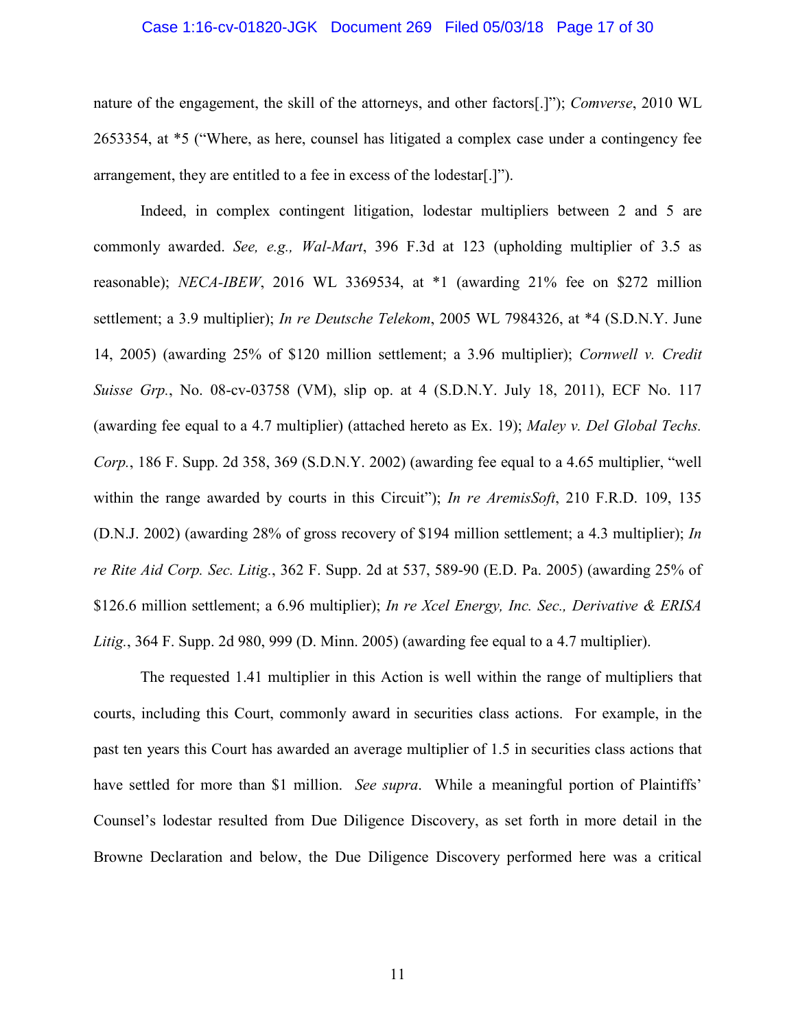# Case 1:16-cv-01820-JGK Document 269 Filed 05/03/18 Page 17 of 30

nature of the engagement, the skill of the attorneys, and other factors[.]"); Comverse, 2010 WL 2653354, at \*5 ("Where, as here, counsel has litigated a complex case under a contingency fee arrangement, they are entitled to a fee in excess of the lodestar[.]").

Indeed, in complex contingent litigation, lodestar multipliers between 2 and 5 are commonly awarded. See, e.g., Wal-Mart, 396 F.3d at 123 (upholding multiplier of 3.5 as reasonable); *NECA-IBEW*, 2016 WL 3369534, at \*1 (awarding 21% fee on \$272 million settlement; a 3.9 multiplier); *In re Deutsche Telekom*, 2005 WL 7984326, at \*4 (S.D.N.Y. June 14, 2005) (awarding 25% of \$120 million settlement; a 3.96 multiplier); Cornwell v. Credit Suisse Grp., No. 08-cv-03758 (VM), slip op. at 4 (S.D.N.Y. July 18, 2011), ECF No. 117 (awarding fee equal to a 4.7 multiplier) (attached hereto as Ex. 19); *Maley v. Del Global Techs.* Corp., 186 F. Supp. 2d 358, 369 (S.D.N.Y. 2002) (awarding fee equal to a 4.65 multiplier, "well within the range awarded by courts in this Circuit"); *In re AremisSoft*, 210 F.R.D. 109, 135 (D.N.J. 2002) (awarding 28% of gross recovery of \$194 million settlement; a 4.3 multiplier); In re Rite Aid Corp. Sec. Litig., 362 F. Supp. 2d at 537, 589-90 (E.D. Pa. 2005) (awarding 25% of \$126.6 million settlement; a 6.96 multiplier); In re Xcel Energy, Inc. Sec., Derivative & ERISA Litig., 364 F. Supp. 2d 980, 999 (D. Minn. 2005) (awarding fee equal to a 4.7 multiplier).

The requested 1.41 multiplier in this Action is well within the range of multipliers that courts, including this Court, commonly award in securities class actions. For example, in the past ten years this Court has awarded an average multiplier of 1.5 in securities class actions that have settled for more than \$1 million. See supra. While a meaningful portion of Plaintiffs' Counsel's lodestar resulted from Due Diligence Discovery, as set forth in more detail in the Browne Declaration and below, the Due Diligence Discovery performed here was a critical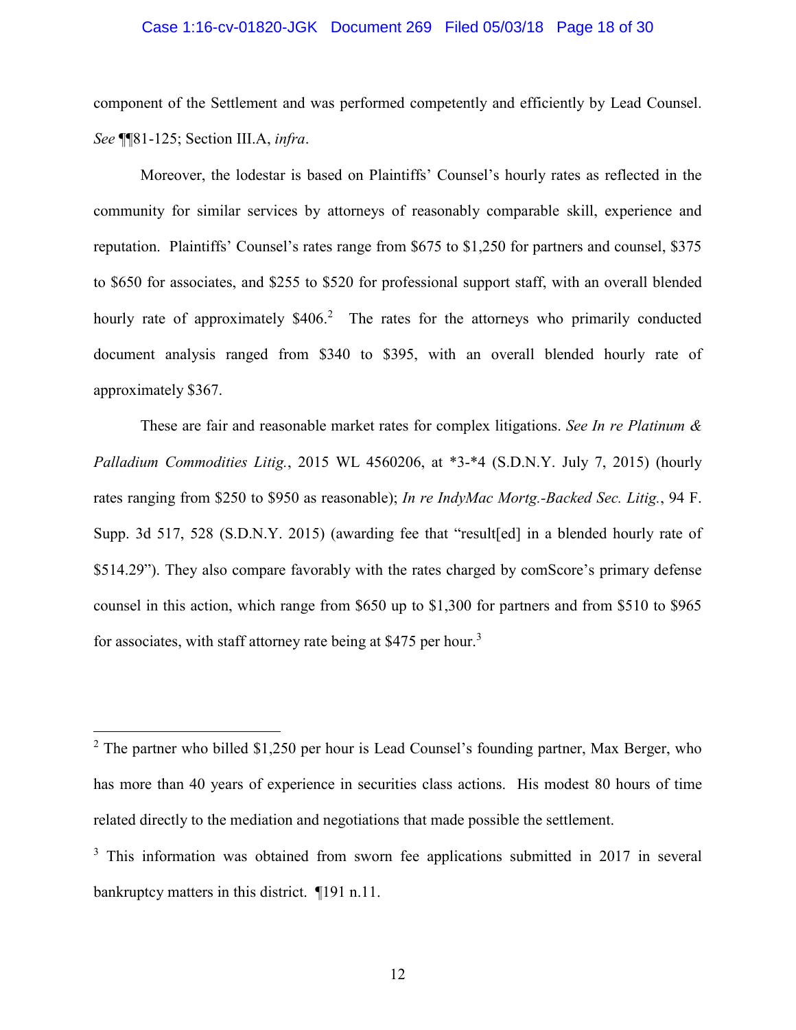### Case 1:16-cv-01820-JGK Document 269 Filed 05/03/18 Page 18 of 30

component of the Settlement and was performed competently and efficiently by Lead Counsel. See ¶81-125; Section III.A, infra.

Moreover, the lodestar is based on Plaintiffs' Counsel's hourly rates as reflected in the community for similar services by attorneys of reasonably comparable skill, experience and reputation. Plaintiffs' Counsel's rates range from \$675 to \$1,250 for partners and counsel, \$375 to \$650 for associates, and \$255 to \$520 for professional support staff, with an overall blended hourly rate of approximately \$406.<sup>2</sup> The rates for the attorneys who primarily conducted document analysis ranged from \$340 to \$395, with an overall blended hourly rate of approximately \$367.

These are fair and reasonable market rates for complex litigations. See In re Platinum  $\&$ Palladium Commodities Litig., 2015 WL 4560206, at \*3-\*4 (S.D.N.Y. July 7, 2015) (hourly rates ranging from \$250 to \$950 as reasonable); In re IndyMac Mortg.-Backed Sec. Litig., 94 F. Supp. 3d 517, 528 (S.D.N.Y. 2015) (awarding fee that "result[ed] in a blended hourly rate of \$514.29"). They also compare favorably with the rates charged by comScore's primary defense counsel in this action, which range from \$650 up to \$1,300 for partners and from \$510 to \$965 for associates, with staff attorney rate being at \$475 per hour.<sup>3</sup>

 $2$  The partner who billed \$1,250 per hour is Lead Counsel's founding partner, Max Berger, who has more than 40 years of experience in securities class actions. His modest 80 hours of time related directly to the mediation and negotiations that made possible the settlement.

<sup>&</sup>lt;sup>3</sup> This information was obtained from sworn fee applications submitted in 2017 in several bankruptcy matters in this district.  $\P$ 191 n.11.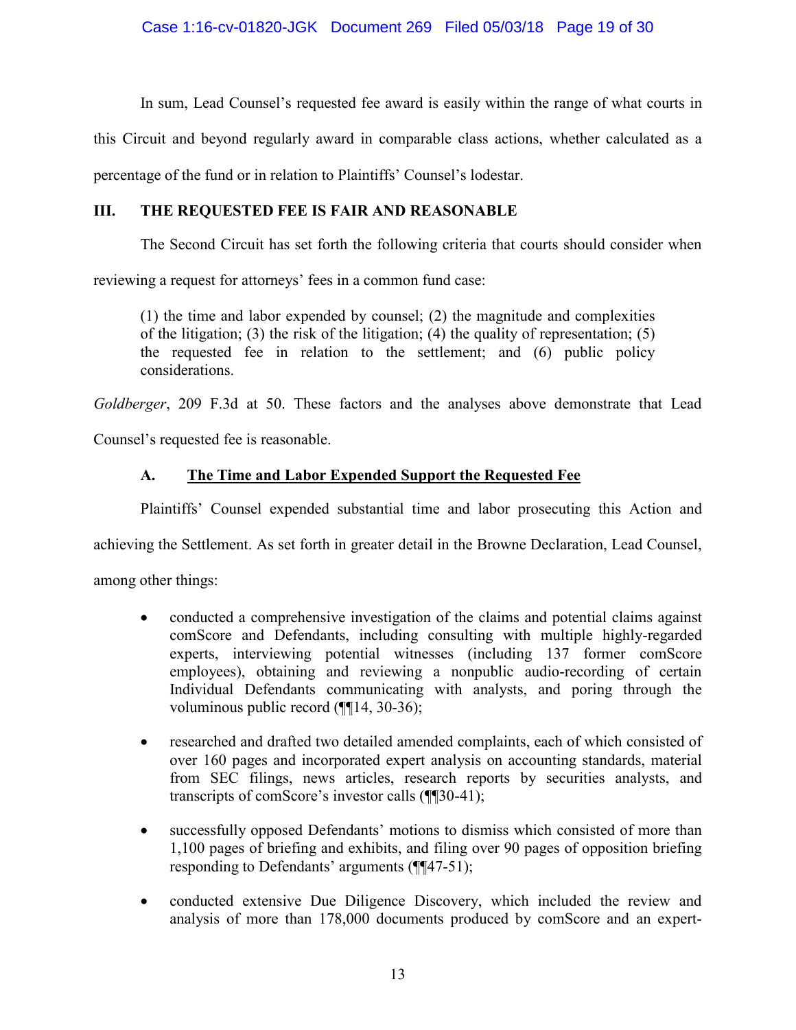In sum, Lead Counsel's requested fee award is easily within the range of what courts in

this Circuit and beyond regularly award in comparable class actions, whether calculated as a

percentage of the fund or in relation to Plaintiffs' Counsel's lodestar.

#### III. THE REOUESTED FEE IS FAIR AND REASONABLE

The Second Circuit has set forth the following criteria that courts should consider when

reviewing a request for attorneys' fees in a common fund case:

 $(1)$  the time and labor expended by counsel; (2) the magnitude and complexities of the litigation; (3) the risk of the litigation; (4) the quality of representation; (5) the requested fee in relation to the settlement; and (6) public policy considerations.

Goldberger, 209 F.3d at 50. These factors and the analyses above demonstrate that Lead

Counsel's requested fee is reasonable.

#### $\mathbf{A}$ . The Time and Labor Expended Support the Requested Fee

Plaintiffs' Counsel expended substantial time and labor prosecuting this Action and

achieving the Settlement. As set forth in greater detail in the Browne Declaration, Lead Counsel,

among other things:

- conducted a comprehensive investigation of the claims and potential claims against  $\bullet$ comScore and Defendants, including consulting with multiple highly-regarded experts, interviewing potential witnesses (including 137 former comScore employees), obtaining and reviewing a nonpublic audio-recording of certain Individual Defendants communicating with analysts, and poring through the voluminous public record  $(\P\P14, 30-36)$ ;
- researched and drafted two detailed amended complaints, each of which consisted of  $\bullet$ over 160 pages and incorporated expert analysis on accounting standards, material from SEC filings, news articles, research reports by securities analysts, and transcripts of comScore's investor calls (¶[30-41);
- successfully opposed Defendants' motions to dismiss which consisted of more than  $\bullet$ 1,100 pages of briefing and exhibits, and filing over 90 pages of opposition briefing responding to Defendants' arguments (¶[47-51);
- conducted extensive Due Diligence Discovery, which included the review and  $\bullet$ analysis of more than 178,000 documents produced by comScore and an expert-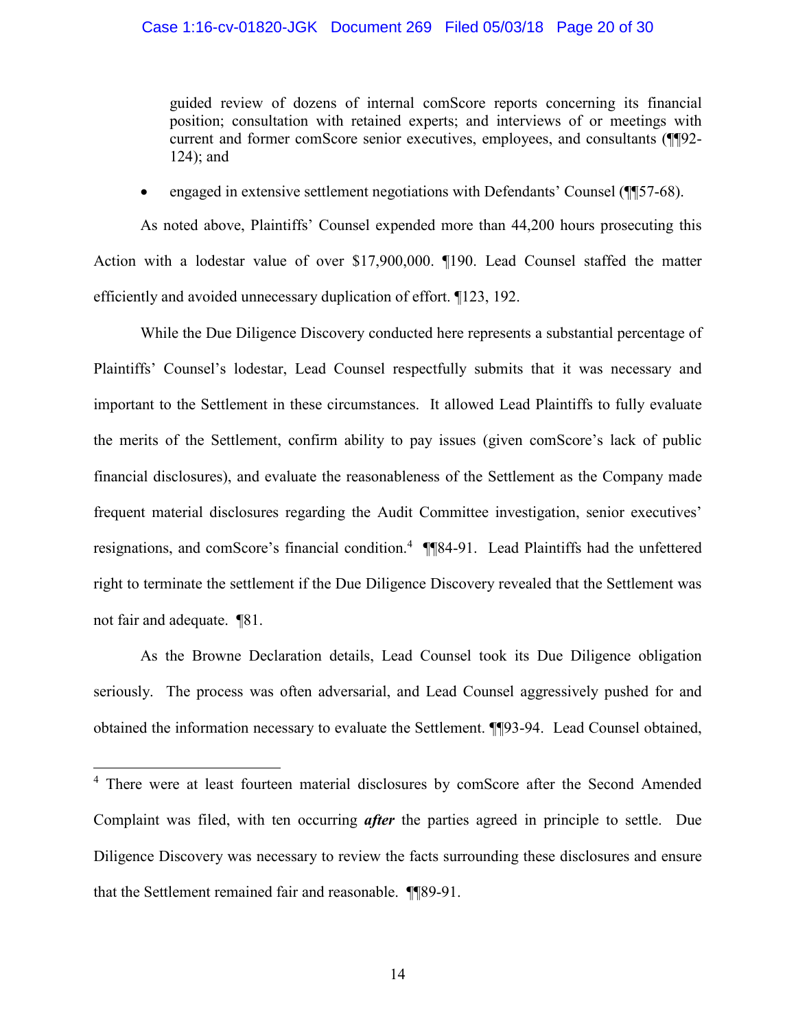### Case 1:16-cv-01820-JGK Document 269 Filed 05/03/18 Page 20 of 30

guided review of dozens of internal comScore reports concerning its financial position; consultation with retained experts; and interviews of or meetings with current and former comScore senior executives, employees, and consultants (¶¶92- $124$ ; and

engaged in extensive settlement negotiations with Defendants' Counsel (¶\[57-68).

As noted above, Plaintiffs' Counsel expended more than 44,200 hours prosecuting this Action with a lodestar value of over \$17,900,000. ¶190. Lead Counsel staffed the matter efficiently and avoided unnecessary duplication of effort. ¶123, 192.

While the Due Diligence Discovery conducted here represents a substantial percentage of Plaintiffs' Counsel's lodestar, Lead Counsel respectfully submits that it was necessary and important to the Settlement in these circumstances. It allowed Lead Plaintiffs to fully evaluate the merits of the Settlement, confirm ability to pay issues (given comScore's lack of public financial disclosures), and evaluate the reasonableness of the Settlement as the Company made frequent material disclosures regarding the Audit Committee investigation, senior executives' resignations, and comScore's financial condition.<sup>4</sup> ¶¶84-91. Lead Plaintiffs had the unfettered right to terminate the settlement if the Due Diligence Discovery revealed that the Settlement was not fair and adequate. 181.

As the Browne Declaration details, Lead Counsel took its Due Diligence obligation seriously. The process was often adversarial, and Lead Counsel aggressively pushed for and obtained the information necessary to evaluate the Settlement. [[[93-94. Lead Counsel obtained,

<sup>&</sup>lt;sup>4</sup> There were at least fourteen material disclosures by comScore after the Second Amended Complaint was filed, with ten occurring *after* the parties agreed in principle to settle. Due Diligence Discovery was necessary to review the facts surrounding these disclosures and ensure that the Settlement remained fair and reasonable. **[189-91.**]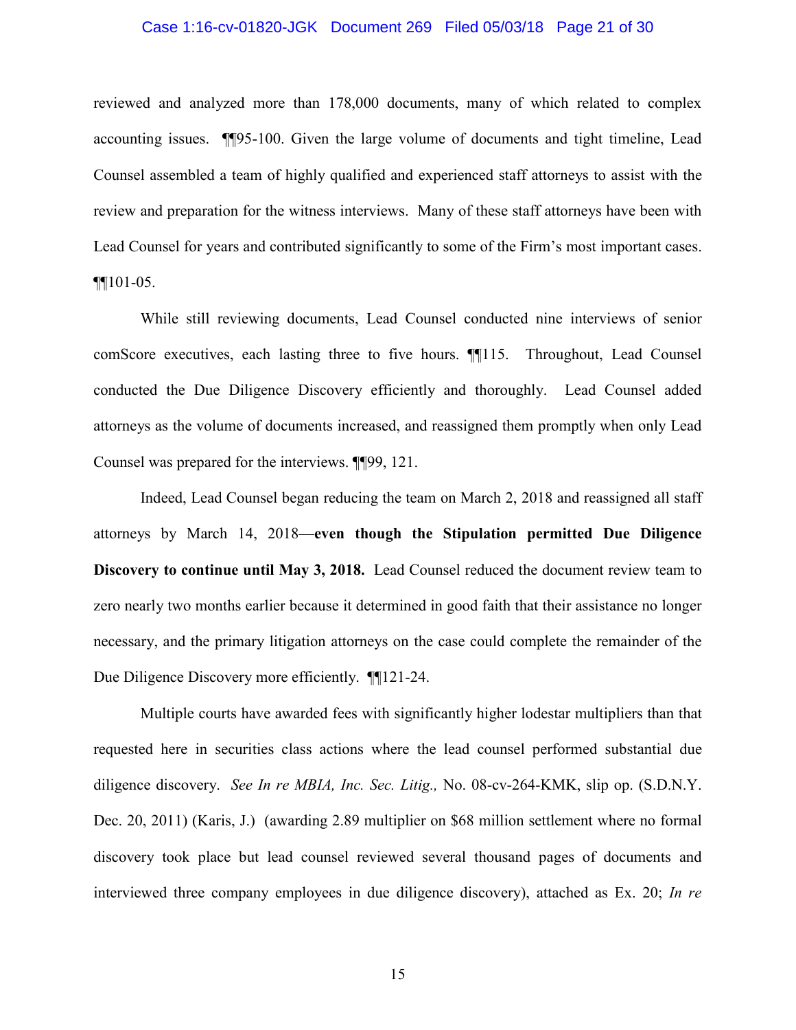### Case 1:16-cv-01820-JGK Document 269 Filed 05/03/18 Page 21 of 30

reviewed and analyzed more than 178,000 documents, many of which related to complex accounting issues. **TI**95-100. Given the large volume of documents and tight timeline, Lead Counsel assembled a team of highly qualified and experienced staff attorneys to assist with the review and preparation for the witness interviews. Many of these staff attorneys have been with Lead Counsel for years and contributed significantly to some of the Firm's most important cases.  $\P$  $101-05.$ 

While still reviewing documents, Lead Counsel conducted nine interviews of senior comScore executives, each lasting three to five hours. **1115**. Throughout, Lead Counsel conducted the Due Diligence Discovery efficiently and thoroughly. Lead Counsel added attorneys as the volume of documents increased, and reassigned them promptly when only Lead Counsel was prepared for the interviews. ¶[99, 121.

Indeed, Lead Counsel began reducing the team on March 2, 2018 and reassigned all staff attorneys by March 14, 2018—even though the Stipulation permitted Due Diligence Discovery to continue until May 3, 2018. Lead Counsel reduced the document review team to zero nearly two months earlier because it determined in good faith that their assistance no longer necessary, and the primary litigation attorneys on the case could complete the remainder of the Due Diligence Discovery more efficiently. **1121-24**.

Multiple courts have awarded fees with significantly higher lodestar multipliers than that requested here in securities class actions where the lead counsel performed substantial due diligence discovery. See In re MBIA, Inc. Sec. Litig., No. 08-cv-264-KMK, slip op. (S.D.N.Y. Dec. 20, 2011) (Karis, J.) (awarding 2.89 multiplier on \$68 million settlement where no formal discovery took place but lead counsel reviewed several thousand pages of documents and interviewed three company employees in due diligence discovery), attached as Ex. 20; In re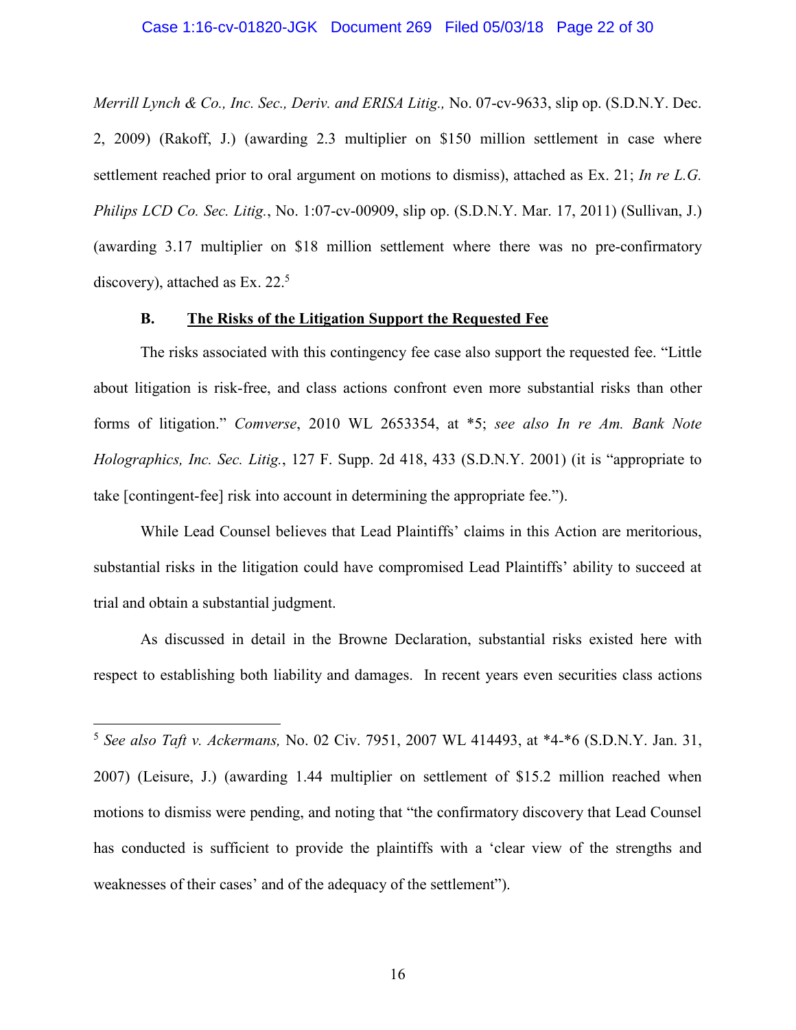### Case 1:16-cv-01820-JGK Document 269 Filed 05/03/18 Page 22 of 30

Merrill Lynch & Co., Inc. Sec., Deriv. and ERISA Litig., No. 07-cv-9633, slip op. (S.D.N.Y. Dec. 2, 2009) (Rakoff, J.) (awarding 2.3 multiplier on \$150 million settlement in case where settlement reached prior to oral argument on motions to dismiss), attached as Ex. 21; In re L.G. Philips LCD Co. Sec. Litig., No. 1:07-cv-00909, slip op. (S.D.N.Y. Mar. 17, 2011) (Sullivan, J.) (awarding 3.17 multiplier on \$18 million settlement where there was no pre-confirmatory discovery), attached as Ex.  $22<sup>5</sup>$ 

#### The Risks of the Litigation Support the Requested Fee **B.**

The risks associated with this contingency fee case also support the requested fee. "Little" about litigation is risk-free, and class actions confront even more substantial risks than other forms of litigation." Comverse, 2010 WL 2653354, at \*5; see also In re Am. Bank Note Holographics, Inc. Sec. Litig., 127 F. Supp. 2d 418, 433 (S.D.N.Y. 2001) (it is "appropriate to take [contingent-fee] risk into account in determining the appropriate fee.").

While Lead Counsel believes that Lead Plaintiffs' claims in this Action are meritorious, substantial risks in the litigation could have compromised Lead Plaintiffs' ability to succeed at trial and obtain a substantial judgment.

As discussed in detail in the Browne Declaration, substantial risks existed here with respect to establishing both liability and damages. In recent years even securities class actions

<sup>&</sup>lt;sup>5</sup> See also Taft v. Ackermans, No. 02 Civ. 7951, 2007 WL 414493, at  $*4-*6$  (S.D.N.Y. Jan. 31, 2007) (Leisure, J.) (awarding 1.44 multiplier on settlement of \$15.2 million reached when motions to dismiss were pending, and noting that "the confirmatory discovery that Lead Counsel has conducted is sufficient to provide the plaintiffs with a 'clear view of the strengths and weaknesses of their cases' and of the adequacy of the settlement").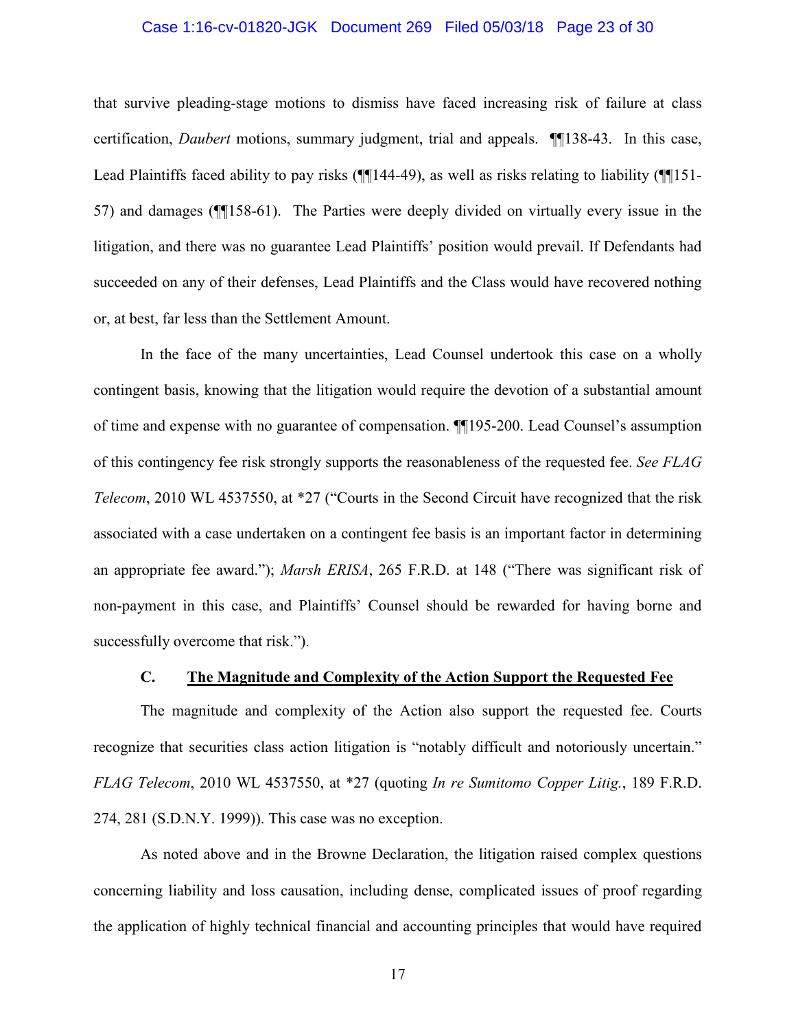### Case 1:16-cv-01820-JGK Document 269 Filed 05/03/18 Page 23 of 30

that survive pleading-stage motions to dismiss have faced increasing risk of failure at class certification, *Daubert* motions, summary judgment, trial and appeals. ¶138-43. In this case, Lead Plaintiffs faced ability to pay risks  $(\P{1144-49})$ , as well as risks relating to liability  $(\P{151-$ 57) and damages (¶158-61). The Parties were deeply divided on virtually every issue in the litigation, and there was no guarantee Lead Plaintiffs' position would prevail. If Defendants had succeeded on any of their defenses, Lead Plaintiffs and the Class would have recovered nothing or, at best, far less than the Settlement Amount.

In the face of the many uncertainties, Lead Counsel undertook this case on a wholly contingent basis, knowing that the litigation would require the devotion of a substantial amount of time and expense with no guarantee of compensation. **[195-200**. Lead Counsel's assumption of this contingency fee risk strongly supports the reasonableness of the requested fee. See FLAG *Telecom*, 2010 WL 4537550, at \*27 ("Courts in the Second Circuit have recognized that the risk associated with a case undertaken on a contingent fee basis is an important factor in determining an appropriate fee award."); *Marsh ERISA*, 265 F.R.D. at 148 ("There was significant risk of non-payment in this case, and Plaintiffs' Counsel should be rewarded for having borne and successfully overcome that risk.").

#### The Magnitude and Complexity of the Action Support the Requested Fee  $\mathbf{C}$ .

The magnitude and complexity of the Action also support the requested fee. Courts recognize that securities class action litigation is "notably difficult and notoriously uncertain." FLAG Telecom, 2010 WL 4537550, at \*27 (quoting In re Sumitomo Copper Litig., 189 F.R.D. 274, 281 (S.D.N.Y. 1999)). This case was no exception.

As noted above and in the Browne Declaration, the litigation raised complex questions concerning liability and loss causation, including dense, complicated issues of proof regarding the application of highly technical financial and accounting principles that would have required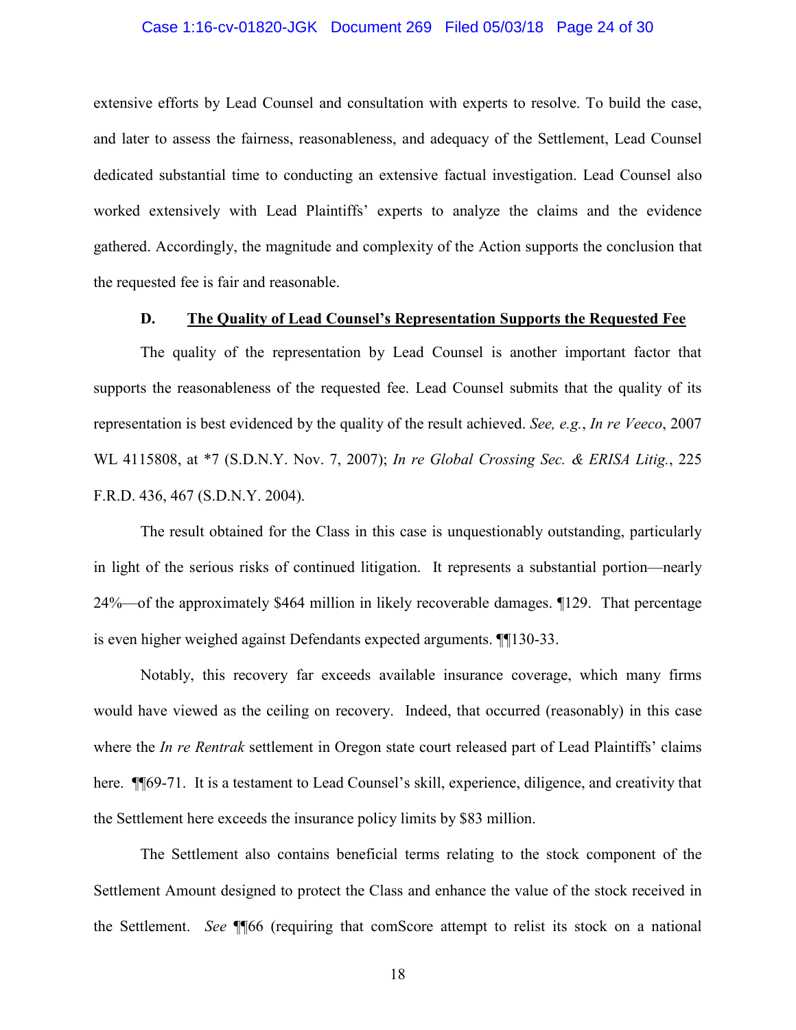### Case 1:16-cv-01820-JGK Document 269 Filed 05/03/18 Page 24 of 30

extensive efforts by Lead Counsel and consultation with experts to resolve. To build the case, and later to assess the fairness, reasonableness, and adequacy of the Settlement, Lead Counsel dedicated substantial time to conducting an extensive factual investigation. Lead Counsel also worked extensively with Lead Plaintiffs' experts to analyze the claims and the evidence gathered. Accordingly, the magnitude and complexity of the Action supports the conclusion that the requested fee is fair and reasonable.

#### The Quality of Lead Counsel's Representation Supports the Requested Fee D.

The quality of the representation by Lead Counsel is another important factor that supports the reasonableness of the requested fee. Lead Counsel submits that the quality of its representation is best evidenced by the quality of the result achieved. See, e.g., In re Veeco, 2007 WL 4115808, at \*7 (S.D.N.Y. Nov. 7, 2007); In re Global Crossing Sec. & ERISA Litig., 225 F.R.D. 436, 467 (S.D.N.Y. 2004).

The result obtained for the Class in this case is unquestionably outstanding, particularly in light of the serious risks of continued litigation. It represents a substantial portion—nearly 24%—of the approximately \$464 million in likely recoverable damages. ¶129. That percentage is even higher weighed against Defendants expected arguments. **[1130-33.**]

Notably, this recovery far exceeds available insurance coverage, which many firms would have viewed as the ceiling on recovery. Indeed, that occurred (reasonably) in this case where the *In re Rentrak* settlement in Oregon state court released part of Lead Plaintiffs' claims here. ¶ [69-71. It is a testament to Lead Counsel's skill, experience, diligence, and creativity that the Settlement here exceeds the insurance policy limits by \$83 million.

The Settlement also contains beneficial terms relating to the stock component of the Settlement Amount designed to protect the Class and enhance the value of the stock received in the Settlement. See ¶ 66 (requiring that comscore attempt to relist its stock on a national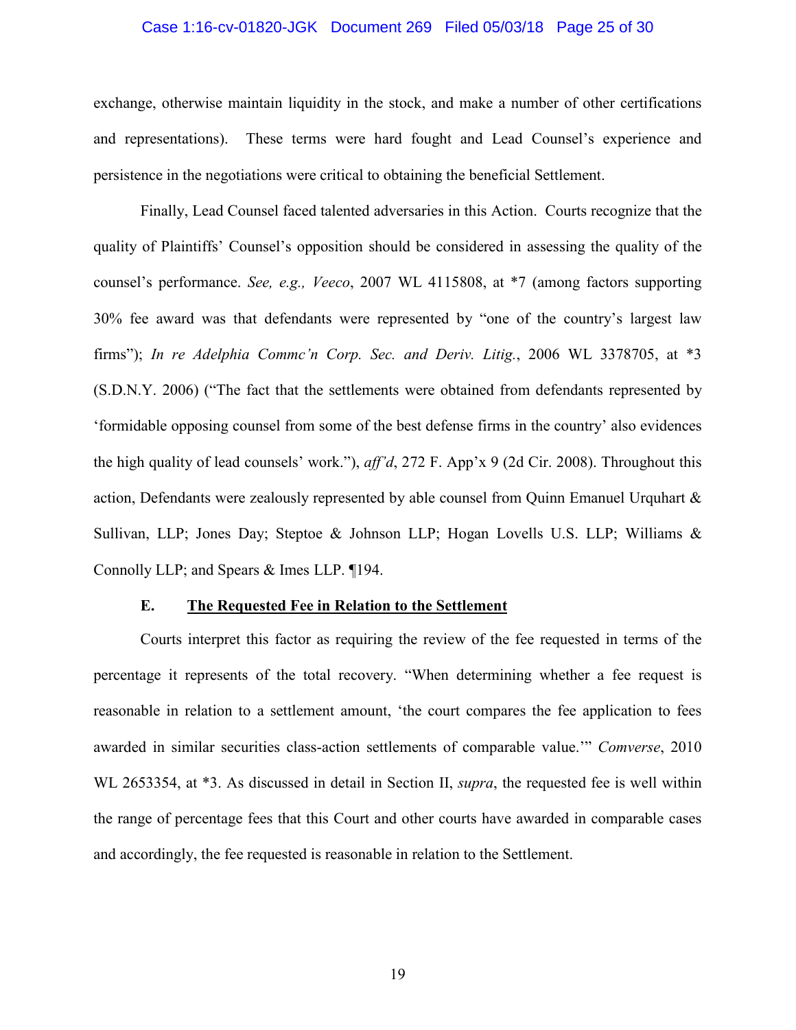### Case 1:16-cv-01820-JGK Document 269 Filed 05/03/18 Page 25 of 30

exchange, otherwise maintain liquidity in the stock, and make a number of other certifications These terms were hard fought and Lead Counsel's experience and and representations). persistence in the negotiations were critical to obtaining the beneficial Settlement.

Finally, Lead Counsel faced talented adversaries in this Action. Courts recognize that the quality of Plaintiffs' Counsel's opposition should be considered in assessing the quality of the counsel's performance. See, e.g., Veeco, 2007 WL 4115808, at \*7 (among factors supporting 30% fee award was that defendants were represented by "one of the country's largest law firms"); In re Adelphia Commc'n Corp. Sec. and Deriv. Litig., 2006 WL 3378705, at \*3 (S.D.N.Y. 2006) ("The fact that the settlements were obtained from defendants represented by 'formidable opposing counsel from some of the best defense firms in the country' also evidences the high quality of lead counsels' work."),  $aff'd$ , 272 F. App'x 9 (2d Cir. 2008). Throughout this action, Defendants were zealously represented by able counsel from Quinn Emanuel Urquhart  $\&$ Sullivan, LLP; Jones Day; Steptoe & Johnson LLP; Hogan Lovells U.S. LLP; Williams & Connolly LLP; and Spears & Imes LLP. 194.

#### E. The Requested Fee in Relation to the Settlement

Courts interpret this factor as requiring the review of the fee requested in terms of the percentage it represents of the total recovery. "When determining whether a fee request is reasonable in relation to a settlement amount, 'the court compares the fee application to fees awarded in similar securities class-action settlements of comparable value." Comverse, 2010 WL 2653354, at \*3. As discussed in detail in Section II, *supra*, the requested fee is well within the range of percentage fees that this Court and other courts have awarded in comparable cases and accordingly, the fee requested is reasonable in relation to the Settlement.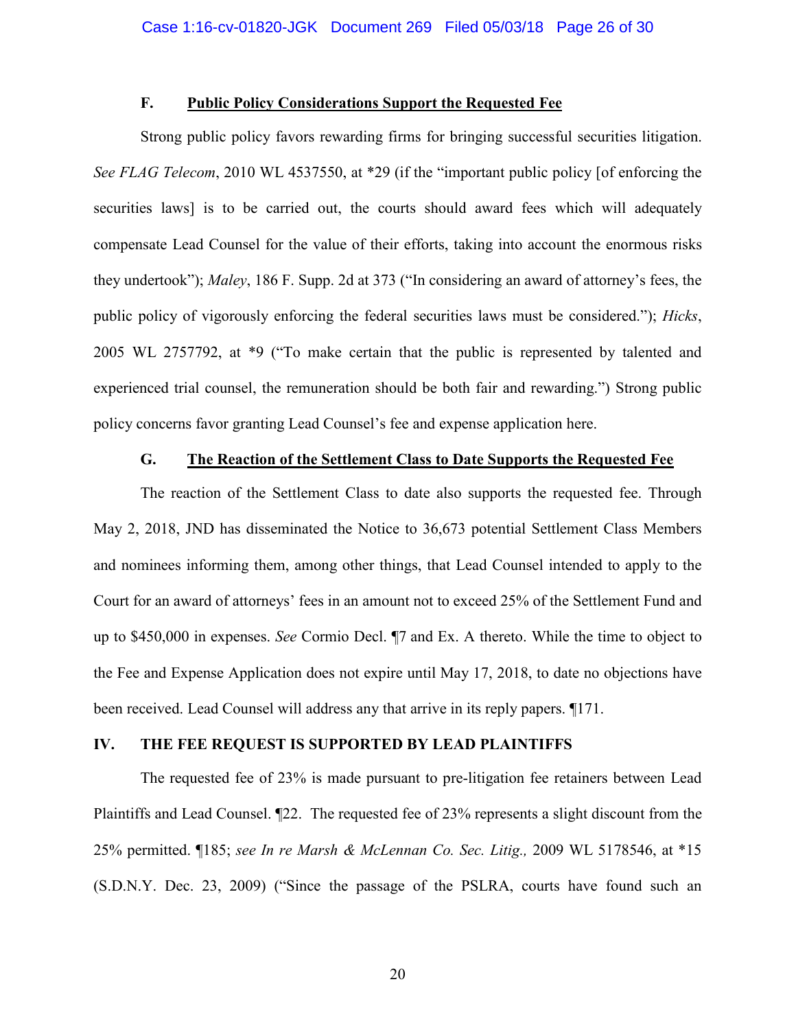#### F. **Public Policy Considerations Support the Requested Fee**

Strong public policy favors rewarding firms for bringing successful securities litigation. See FLAG Telecom, 2010 WL 4537550, at \*29 (if the "important public policy [of enforcing the securities laws] is to be carried out, the courts should award fees which will adequately compensate Lead Counsel for the value of their efforts, taking into account the enormous risks they undertook"); Maley, 186 F. Supp. 2d at 373 ("In considering an award of attorney's fees, the public policy of vigorously enforcing the federal securities laws must be considered."); *Hicks*, 2005 WL 2757792, at \*9 ("To make certain that the public is represented by talented and experienced trial counsel, the remuneration should be both fair and rewarding.") Strong public policy concerns favor granting Lead Counsel's fee and expense application here.

#### G. The Reaction of the Settlement Class to Date Supports the Requested Fee

The reaction of the Settlement Class to date also supports the requested fee. Through May 2, 2018, JND has disseminated the Notice to 36,673 potential Settlement Class Members and nominees informing them, among other things, that Lead Counsel intended to apply to the Court for an award of attorneys' fees in an amount not to exceed 25% of the Settlement Fund and up to \$450,000 in expenses. See Cormio Decl. ¶7 and Ex. A thereto. While the time to object to the Fee and Expense Application does not expire until May 17, 2018, to date no objections have been received. Lead Counsel will address any that arrive in its reply papers. 1171.

#### IV. THE FEE REQUEST IS SUPPORTED BY LEAD PLAINTIFFS

The requested fee of 23% is made pursuant to pre-litigation fee retainers between Lead Plaintiffs and Lead Counsel. 122. The requested fee of 23% represents a slight discount from the 25% permitted. ¶185; see In re Marsh & McLennan Co. Sec. Litig., 2009 WL 5178546, at \*15 (S.D.N.Y. Dec. 23, 2009) ("Since the passage of the PSLRA, courts have found such an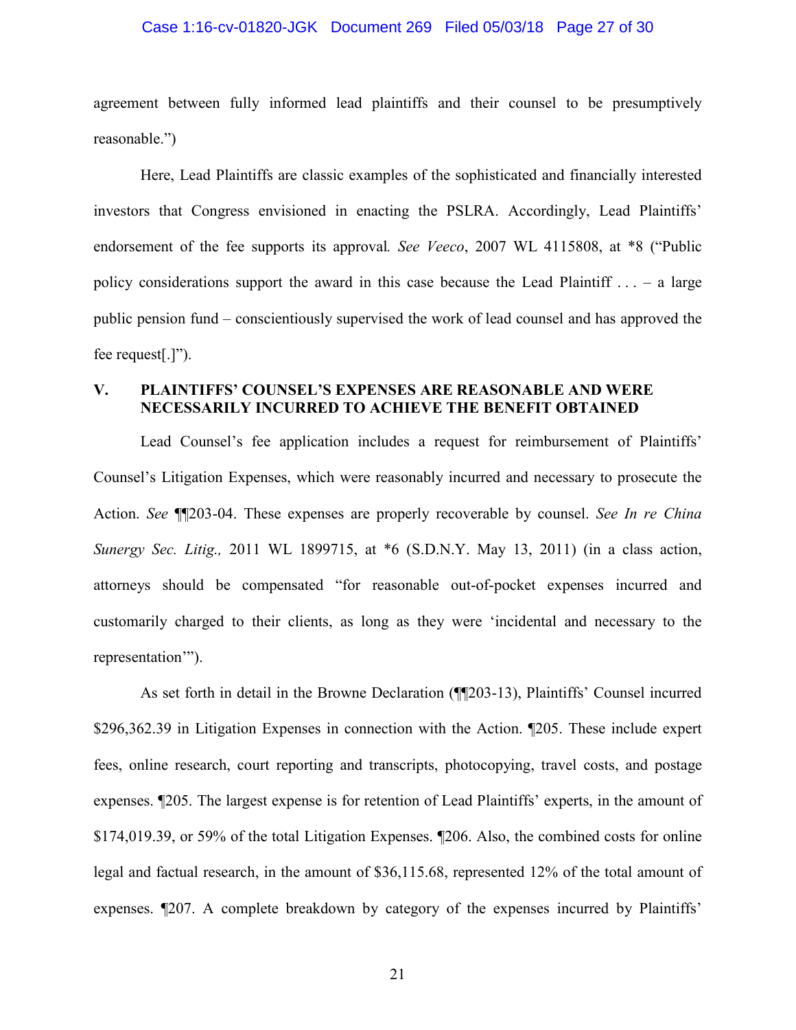### Case 1:16-cv-01820-JGK Document 269 Filed 05/03/18 Page 27 of 30

agreement between fully informed lead plaintiffs and their counsel to be presumptively reasonable.")

Here, Lead Plaintiffs are classic examples of the sophisticated and financially interested investors that Congress envisioned in enacting the PSLRA. Accordingly, Lead Plaintiffs' endorsement of the fee supports its approval. See Veeco, 2007 WL 4115808, at \*8 ("Public policy considerations support the award in this case because the Lead Plaintiff  $\dots$  – a large public pension fund – conscientiously supervised the work of lead counsel and has approved the fee request[.]").

#### $V_{\star}$ **PLAINTIFFS' COUNSEL'S EXPENSES ARE REASONABLE AND WERE** NECESSARILY INCURRED TO ACHIEVE THE BENEFIT OBTAINED

Lead Counsel's fee application includes a request for reimbursement of Plaintiffs' Counsel's Litigation Expenses, which were reasonably incurred and necessary to prosecute the Action. See ¶[203-04. These expenses are properly recoverable by counsel. See In re China Sunergy Sec. Litig., 2011 WL 1899715, at \*6 (S.D.N.Y. May 13, 2011) (in a class action, attorneys should be compensated "for reasonable out-of-pocket expenses incurred and customarily charged to their clients, as long as they were 'incidental and necessary to the representation"").

As set forth in detail in the Browne Declaration (¶[203-13), Plaintiffs' Counsel incurred \$296,362.39 in Litigation Expenses in connection with the Action. 1205. These include expert fees, online research, court reporting and transcripts, photocopying, travel costs, and postage expenses. [205. The largest expense is for retention of Lead Plaintiffs' experts, in the amount of \$174,019.39, or 59% of the total Litigation Expenses. ¶206. Also, the combined costs for online legal and factual research, in the amount of \$36,115.68, represented 12% of the total amount of expenses. 1207. A complete breakdown by category of the expenses incurred by Plaintiffs'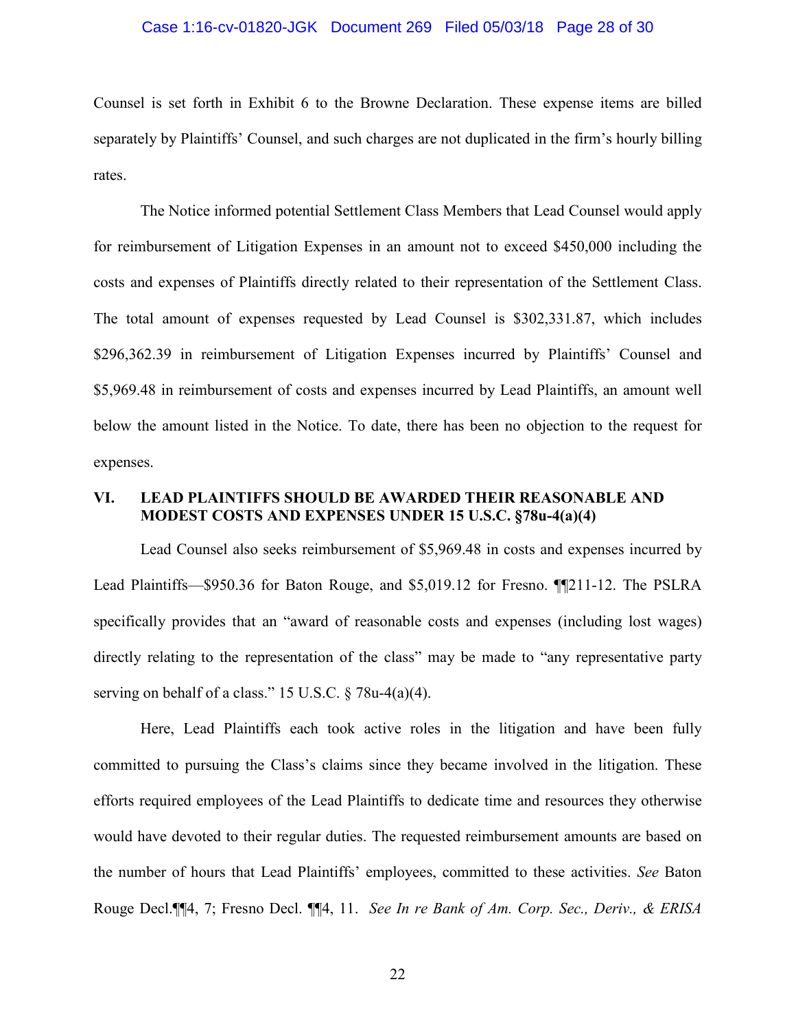# Case 1:16-cv-01820-JGK Document 269 Filed 05/03/18 Page 28 of 30

Counsel is set forth in Exhibit 6 to the Browne Declaration. These expense items are billed separately by Plaintiffs' Counsel, and such charges are not duplicated in the firm's hourly billing rates.

The Notice informed potential Settlement Class Members that Lead Counsel would apply for reimbursement of Litigation Expenses in an amount not to exceed \$450,000 including the costs and expenses of Plaintiffs directly related to their representation of the Settlement Class. The total amount of expenses requested by Lead Counsel is \$302,331.87, which includes \$296,362.39 in reimbursement of Litigation Expenses incurred by Plaintiffs' Counsel and \$5,969.48 in reimbursement of costs and expenses incurred by Lead Plaintiffs, an amount well below the amount listed in the Notice. To date, there has been no objection to the request for expenses.

#### VI. **LEAD PLAINTIFFS SHOULD BE AWARDED THEIR REASONABLE AND** MODEST COSTS AND EXPENSES UNDER 15 U.S.C. §78u-4(a)(4)

Lead Counsel also seeks reimbursement of \$5,969.48 in costs and expenses incurred by Lead Plaintiffs—\$950.36 for Baton Rouge, and \$5,019.12 for Fresno. [[211-12. The PSLRA] specifically provides that an "award of reasonable costs and expenses (including lost wages) directly relating to the representation of the class" may be made to "any representative party serving on behalf of a class." 15 U.S.C.  $\S$  78u-4(a)(4).

Here, Lead Plaintiffs each took active roles in the litigation and have been fully committed to pursuing the Class's claims since they became involved in the litigation. These efforts required employees of the Lead Plaintiffs to dedicate time and resources they otherwise would have devoted to their regular duties. The requested reimbursement amounts are based on the number of hours that Lead Plaintiffs' employees, committed to these activities. See Baton Rouge Decl. [4, 7; Fresno Decl. [14, 11. See In re Bank of Am. Corp. Sec., Deriv., & ERISA

22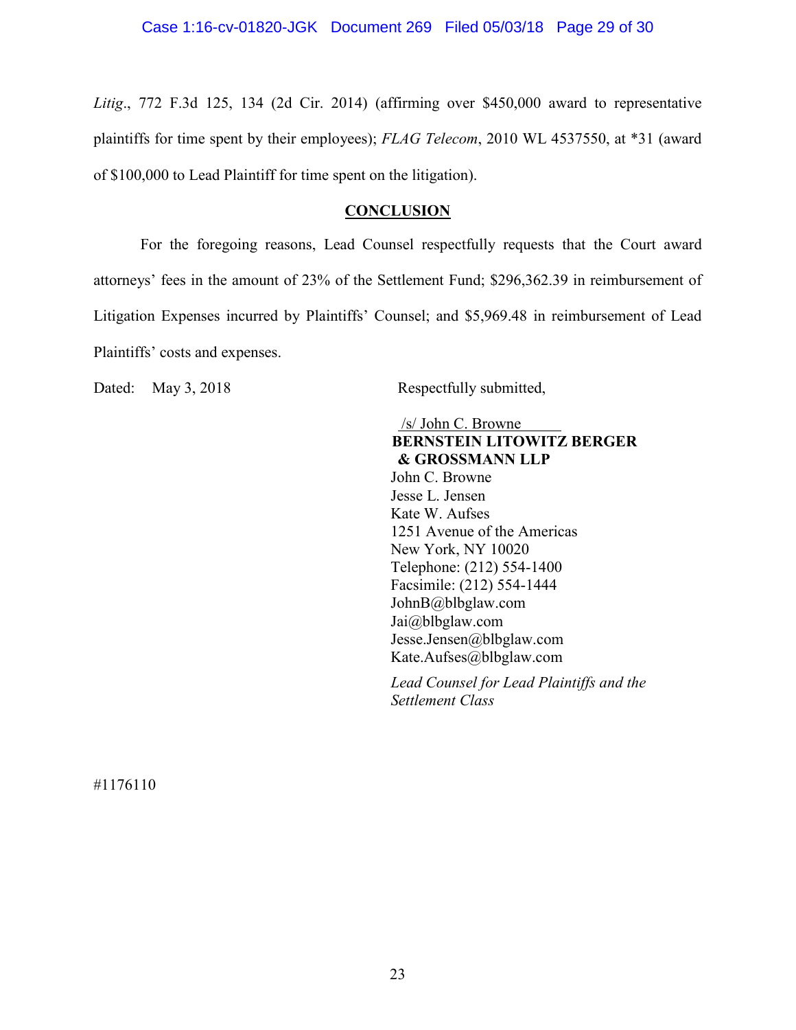Litig., 772 F.3d 125, 134 (2d Cir. 2014) (affirming over \$450,000 award to representative plaintiffs for time spent by their employees); FLAG Telecom, 2010 WL 4537550, at \*31 (award of \$100,000 to Lead Plaintiff for time spent on the litigation).

### **CONCLUSION**

For the foregoing reasons, Lead Counsel respectfully requests that the Court award attorneys' fees in the amount of 23% of the Settlement Fund; \$296,362.39 in reimbursement of Litigation Expenses incurred by Plaintiffs' Counsel; and \$5,969.48 in reimbursement of Lead Plaintiffs' costs and expenses.

Dated: May 3, 2018

Respectfully submitted,

 $/s/$  John C. Browne **BERNSTEIN LITOWITZ BERGER** & GROSSMANN LLP John C. Browne Jesse L. Jensen Kate W. Aufses 1251 Avenue of the Americas New York, NY 10020 Telephone: (212) 554-1400 Facsimile: (212) 554-1444 JohnB@blbglaw.com Jai@blbglaw.com Jesse.Jensen@blbglaw.com Kate.Aufses@blbglaw.com

Lead Counsel for Lead Plaintiffs and the **Settlement Class** 

#1176110